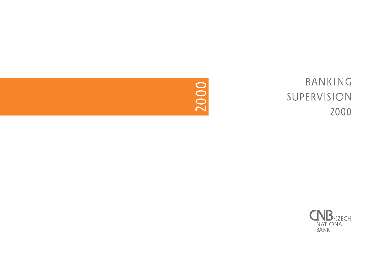

# BANKING SUPERVISION 2000

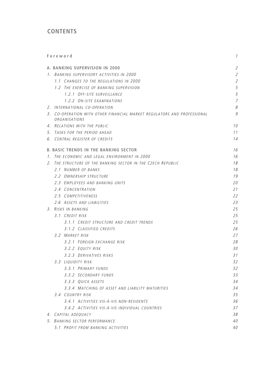# **CONTENTS**

|    | Foreword                                                                                 | 1              |
|----|------------------------------------------------------------------------------------------|----------------|
|    | A. BANKING SUPERVISION IN 2000                                                           | $\overline{2}$ |
|    | 1. BANKING SUPERVISORY ACTIVITIES IN 2000                                                | $\overline{2}$ |
|    | 1.1 CHANGES TO THE REGULATIONS IN 2000                                                   | $\overline{2}$ |
|    | 1.2 THE EXERCISE OF BANKING SUPERVISION                                                  | 5              |
|    | 1.2.1 OFF-SITE SURVEILLANCE                                                              | 5              |
|    | 1.2.2 ON-SITE EXAMINATIONS                                                               | 7              |
|    | 2. INTERNATIONAL CO-OPERATION                                                            | 8              |
|    | 3. CO-OPERATION WITH OTHER FINANCIAL MARKET REGULATORS AND PROFESSIONAL<br>ORGANISATIONS | 9              |
|    | 4. RELATIONS WITH THE PUBLIC                                                             | 10             |
|    | 5. TASKS FOR THE PERIOD AHEAD                                                            | 11             |
|    | 6. CENTRAL REGISTER OF CREDITS                                                           | 14             |
|    | <b>B. BASIC TRENDS IN THE BANKING SECTOR</b>                                             | 16             |
|    | 1. THE ECONOMIC AND LEGAL ENVIRONMENT IN 2000                                            | 16             |
| 2. | THE STRUCTURE OF THE BANKING SECTOR IN THE CZECH REPUBLIC                                | 18             |
|    | 2.1 NUMBER OF BANKS                                                                      | 18             |
|    | 2.2 OWNERSHIP STRUCTURE                                                                  | 19             |
|    | 2.3 EMPLOYEES AND BANKING UNITS                                                          | 20             |
|    | 2.4 CONCENTRATION                                                                        | 21             |
|    | 2.5 COMPETITIVENESS                                                                      | 22             |
|    | 2.6 ASSETS AND LIABILITIES<br>3. RISKS IN BANKING                                        | 23<br>25       |
|    | 3.1 CREDIT RISK                                                                          | 25             |
|    | 3.1.1 CREDIT STRUCTURE AND CREDIT TRENDS                                                 | 25             |
|    | 3.1.2 CLASSIFIED CREDITS                                                                 | 26             |
|    | 3.2 MARKET RISK                                                                          | 27             |
|    | 3.2.1 FOREIGN EXCHANGE RISK                                                              | 28             |
|    | 3.2.2 EQUITY RISK                                                                        | 30             |
|    | 3.2.3 DERIVATIVES RISKS                                                                  | 31             |
|    | 3.3 LIQUIDITY RISK                                                                       | 32             |
|    | 3.3.1 PRIMARY FUNDS                                                                      | 32             |
|    | 3.3.2 SECONDARY FUNDS                                                                    | 33             |
|    | 3.3.3 QUICK ASSETS                                                                       | 34             |
|    | 3.3.4 MATCHING OF ASSET AND LIABILITY MATURITIES                                         | 34             |
|    | 3.4 COUNTRY RISK                                                                         | 35             |
|    | 3.4.1 ACTIVITIES VIS-À-VIS NON-RESIDENTS                                                 | 36             |
|    | 3.4.2 ACTIVITIES VIS-À-VIS INDIVIDUAL COUNTRIES                                          | 37             |
|    | 4. CAPITAL ADEQUACY                                                                      | 38             |
|    | 5. BANKING SECTOR PERFORMANCE                                                            | 40             |
|    | 5.1 PROFIT FROM BANKING ACTIVITIES                                                       | 40             |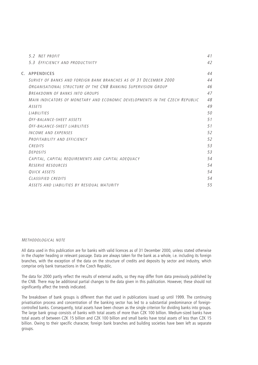| 5.2 NFT PROFIT                                                              | 41 |
|-----------------------------------------------------------------------------|----|
| 5.3 EFFICIENCY AND PRODUCTIVITY                                             | 42 |
| C. APPENDICES                                                               | 44 |
| SURVEY OF BANKS AND FORFIGN BANK BRANCHES AS OF 31 DECEMBER 2000            | 44 |
| ORGANISATIONAL STRUCTURE OF THE CNB BANKING SUPERVISION GROUP               | 46 |
| BREAKDOWN OF BANKS INTO GROUPS                                              | 47 |
| MAIN INDICATORS OF MONETARY AND ECONOMIC DEVELOPMENTS IN THE CZECH REPUBLIC | 48 |
| ASSETS                                                                      | 49 |
| <i>LIABILITIES</i>                                                          | 50 |
| OFF-BALANCE-SHEFT ASSETS                                                    | 51 |
| OFF-BALANCE-SHEET LIABILITIES                                               | 51 |
| INCOME AND EXPENSES                                                         | 52 |
| PROFITABILITY AND FFFICIENCY                                                | 52 |
| CREDITS                                                                     | 53 |
| <b>DEPOSITS</b>                                                             | 53 |
| CAPITAL, CAPITAL REQUIREMENTS AND CAPITAL ADEQUACY                          | 54 |
| RESERVE RESOURCES                                                           | 54 |
| QUICK ASSETS                                                                | 54 |
| CLASSIFIED CREDITS                                                          | 54 |
| ASSETS AND LIABILITIES BY RESIDUAL MATURITY                                 | 55 |
|                                                                             |    |

# METHODOLOGICAL NOTE

All data used in this publication are for banks with valid licences as of 31 December 2000, unless stated otherwise in the chapter heading or relevant passage. Data are always taken for the bank as a whole, i.e. including its foreign branches, with the exception of the data on the structure of credits and deposits by sector and industry, which comprise only bank transactions in the Czech Republic.

The data for 2000 partly reflect the results of external audits, so they may differ from data previously published by the CNB. There may be additional partial changes to the data given in this publication. However, these should not significantly affect the trends indicated.

The breakdown of bank groups is different than that used in publications issued up until 1999. The continuing privatisation process and concentration of the banking sector has led to a substantial predominance of foreigncontrolled banks. Consequently, total assets have been chosen as the single criterion for dividing banks into groups. The large bank group consists of banks with total assets of more than CZK 100 billion. Medium-sized banks have total assets of between CZK 15 billion and CZK 100 billion and small banks have total assets of less than CZK 15 billion. Owing to their specific character, foreign bank branches and building societies have been left as separate groups.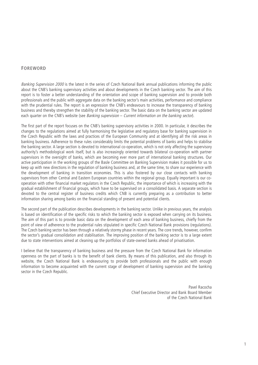# **FOREWORD**

Banking Supervision 2000 is the latest in the series of Czech National Bank annual publications informing the public about the CNB's banking supervisory activities and about developments in the Czech banking sector. The aim of this report is to foster a better understanding of the orientation and scope of banking supervision and to provide both professionals and the public with aggregate data on the banking sector's main activities, performance and compliance with the prudential rules. The report is an expression the CNB's endeavours to increase the transparency of banking business and thereby strengthen the stability of the banking sector. The basic data on the banking sector are updated each quarter on the CNB's website (see Banking supervision – Current information on the banking sector).

The first part of the report focuses on the CNB's banking supervisory activities in 2000. In particular, it describes the changes to the regulations aimed at fully harmonising the legislative and regulatory base for banking supervision in the Czech Republic with the laws and practices of the European Community and at identifying all the risk areas in banking business. Adherence to these rules considerably limits the potential problems of banks and helps to stabilise the banking sector. A large section is devoted to international co-operation, which is not only affecting the supervisory authority's methodological work itself, but is also increasingly oriented towards bilateral co-operation with partner supervisors in the oversight of banks, which are becoming ever more part of international banking structures. Our active participation in the working groups of the Basle Committee on Banking Supervision makes it possible for us to keep up with new directions in the regulation of banking business and, at the same time, to share our experience with the development of banking in transition economies. This is also fostered by our close contacts with banking supervisors from other Central and Eastern European countries within the regional group. Equally important is our cooperation with other financial market regulators in the Czech Republic, the importance of which is increasing with the gradual establishment of financial groups, which have to be supervised on a consolidated basis. A separate section is devoted to the central register of business credits which CNB is currently preparing as a contribution to better information sharing among banks on the financial standing of present and potential clients.

The second part of the publication describes developments in the banking sector. Unlike in previous years, the analysis is based on identification of the specific risks to which the banking sector is exposed when carrying on its business. The aim of this part is to provide basic data on the development of each area of banking business, chiefly from the point of view of adherence to the prudential rules stipulated in specific Czech National Bank provisions (regulations). The Czech banking sector has been through a relatively stormy phase in recent years. The core trends, however, confirm the sector's gradual consolidation and stabilisation. The improving position of the banking sector is to a large extent due to state interventions aimed at cleaning up the portfolios of state-owned banks ahead of privatisation.

I believe that the transparency of banking business and the pressure from the Czech National Bank for information openness on the part of banks is to the benefit of bank clients. By means of this publication, and also through its website, the Czech National Bank is endeavouring to provide both professionals and the public with enough information to become acquainted with the current stage of development of banking supervision and the banking sector in the Czech Republic.

> Pavel Racocha Chief Executive Director and Bank Board Member of the Czech National Bank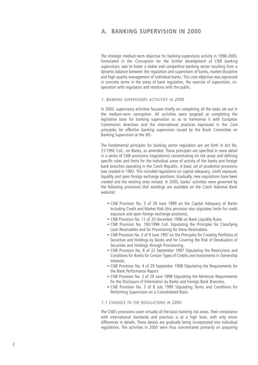# **A. BANKING SUPERVISION IN 2000**

The strategic medium-term objective for banking supervisory activity in 1998-2000, formulated in the Conception for the further development of CNB banking supervision, was to foster a stable and competitive banking sector resulting from a dynamic balance between the regulation and supervision of banks, market discipline and high-quality management of individual banks. This core objective was expressed in concrete terms in the areas of bank regulation, the exercise of supervision, cooperation with regulators and relations with the public.

# 1. BANKING SUPERVISORY ACTIVITIES IN 2000

In 2000, supervisory activities focused chiefly on completing all the tasks set out in the medium-term conception. All activities were targeted at completing the legislative base for banking supervision so as to harmonise it with European Commission directives and the international practices expressed in the Core principles for effective banking supervision issued by the Basle Committee on Banking Supervision at the BIS.

The fundamental principles for banking sector regulation are set forth in Act No. 21/1992 Coll., on Banks, as amended. These principles are specified in more detail in a series of CNB provisions (regulations) concentrating on risk areas and defining specific rules and limits for the individual areas of activity of the banks and foreign bank branches operating in the Czech Republic. A basic set of prudential provisions was created in 1992. This included regulations on capital adequacy, credit exposure, liquidity and open foreign exchange positions. Gradually, new regulations have been created and the existing ones revised. In 2000, banks' activities were governed by the following provisions (full wordings are available on the Czech National Bank website):

- CNB Provision No. 3 of 28 June 1999 on the Capital Adequacy of Banks Including Credit and Market Risk (this provision also stipulates limits for credit exposure and open foreign exchange positions),
- CNB Provision No. 11 of 20 December 1996 on Bank Liquidity Rules.
- CNB Provision No. 193/1998 Coll. Stipulating the Principles for Classifying Loan Receivables and for Provisioning for these Receivables.
- CNB Provision No. 3 of 9 June 1997 on the Principles for Creating Portfolios of Securities and Holdings by Banks and for Covering the Risk of Devaluation of Securities and Holdings through Provisioning.
- CNB Provision No. 8 of 22 September 1997 Stipulating the Restrictions and Conditions for Banks for Certain Types of Credits and Investments in Ownership Interests.
- CNB Provision No. 4 of 29 September 1998 Stipulating the Requirements for the Bank Performance Report.
- CNB Provision No. 2 of 29 June 1998 Stipulating the Minimum Requirements for the Disclosure of Information by Banks and Foreign Bank Branches.
- CNB Provision No. 2 of 8 July 1999 Stipulating Terms and Conditions for Performing Supervision on a Consolidated Basis.

# 1.1 CHANGES TO THE REGILLATIONS IN 2000

The CNB's provisions cover virtually all the basic banking risk areas. Their compliance with international standards and practices is at a high level, with only minor differences in details. These details are gradually being incorporated into individual regulations. The activities in 2000 were thus concentrated primarily on preparing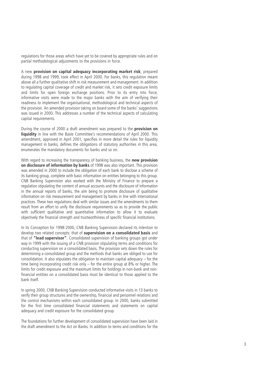regulations for those areas which have yet to be covered by appropriate rules and on partial methodological adjustments to the provisions in force.

A new **provision on capital adequacy incorporating market risk**, prepared during 1998 and 1999, took effect in April 2000. For banks, this regulation meant above all a further qualitative shift in risk measurement and management. In addition to regulating capital coverage of credit and market risk, it sets credit exposure limits and limits for open foreign exchange positions. Prior to its entry into force, informative visits were made to the major banks with the aim of verifying their readiness to implement the organisational, methodological and technical aspects of the provision. An amended provision taking on board some of the banks' suggestions was issued in 2000. This addresses a number of the technical aspects of calculating capital requirements.

During the course of 2000 a draft amendment was prepared to the **provision on liquidity** in line with the Basle Committee's recommendations of April 2000. This amendment, approved in April 2001, specifies in more detail the rules for liquidity management in banks, defines the obligations of statutory authorities in this area, enumerates the mandatory documents for banks and so on.

With regard to increasing the transparency of banking business, the **new provision on disclosure of information by banks** of 1998 was also important. This provision was amended in 2000 to include the obligation of each bank to disclose a scheme of its banking group, complete with basic information on entities belonging to this group. CNB Banking Supervision also worked with the Ministry of Finance to prepare a regulation stipulating the content of annual accounts and the disclosure of information in the annual reports of banks, the aim being to promote disclosure of qualitative information on risk measurement and management by banks in line with international practices. These two regulations deal with similar issues and the amendments to them result from an effort to unify the disclosure requirements so as to provide the public with sufficient qualitative and quantitative information to allow it to evaluate objectively the financial strength and trustworthiness of specific financial institutions.

In its Conception for 1998-2000, CNB Banking Supervision declared its intention to develop two related concepts: that of **supervision on a consolidated basis** and that of **"lead supervisor"**. Consolidated supervision of banking groups got under way in 1999 with the issuing of a CNB provision stipulating terms and conditions for conducting supervision on a consolidated basis. The provision sets down the rules for determining a consolidated group and the methods that banks are obliged to use for consolidation. It also stipulates the obligation to maintain capital adequacy – for the time being incorporating credit risk only  $-$  for the entire group at 8% or higher. The limits for credit exposure and the maximum limits for holdings in non-bank and nonfinancial entities on a consolidated basis must be identical to those applied to the bank itself.

In spring 2000, CNB Banking Supervision conducted informative visits in 13 banks to verify their group structures and the ownership, financial and personnel relations and the control mechanisms within each consolidated group. In 2000, banks submitted for the first time consolidated financial statements and statements on capital adequacy and credit exposure for the consolidated group.

The foundations for further development of consolidated supervision have been laid in the draft amendment to the Act on Banks. In addition to terms and conditions for the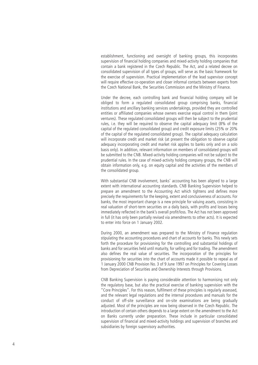establishment, functioning and oversight of banking groups, this incorporates supervision of financial holding companies and mixed-activity holding companies that contain a bank registered in the Czech Republic. The Act, and a related decree on consolidated supervision of all types of groups, will serve as the basic framework for the exercise of supervision. Practical implementation of the lead supervisor concept will require effective co-operation and closer informal contacts between experts from the Czech National Bank, the Securities Commission and the Ministry of Finance.

Under the decree, each controlling bank and financial holding company will be obliged to form a regulated consolidated group comprising banks, financial institutions and ancillary banking services undertakings, provided they are controlled entities or affiliated companies whose owners exercise equal control in them (joint ventures). These regulated consolidated groups will then be subject to the prudential rules, i.e. they will be required to observe the capital adequacy limit (8% of the capital of the regulated consolidated group) and credit exposure limits (25% or 20% of the capital of the regulated consolidated group). The capital adequacy calculation will incorporate credit and market risk (at present the obligation to observe capital adequacy incorporating credit and market risk applies to banks only and on a solo basis only). In addition, relevant information on members of consolidated groups will be submitted to the CNB. Mixed-activity holding companies will not be subject to the prudential rules. In the case of mixed-activity holding company groups, the CNB will obtain information only, e.g. on equity capital and the activities of the members of the consolidated group.

With substantial CNB involvement, banks' accounting has been aligned to a large extent with international accounting standards. CNB Banking Supervision helped to prepare an amendment to the Accounting Act which tightens and defines more precisely the requirements for the keeping, extent and conclusiveness of accounts. For banks, the most important change is a new principle for valuing assets, consisting in real valuation of short-term securities on a daily basis, with profits and losses being immediately reflected in the bank's overall profit/loss. The Act has not been approved in full (it has only been partially revised via amendments to other acts). It is expected to enter into force on 1 January 2002.

During 2000, an amendment was prepared to the Ministry of Finance regulation stipulating the accounting procedures and chart of accounts for banks. This newly sets forth the procedure for provisioning for the controlling and substantial holdings of banks and for securities held until maturity, for selling and for trading. The amendment also defines the real value of securities. The incorporation of the principles for provisioning for securities into the chart of accounts made it possible to repeal as of 1 January 2000 CNB Provision No. 3 of 9 June 1997 on Principles for Covering Losses from Depreciation of Securities and Ownership Interests through Provisions.

CNB Banking Supervision is paying considerable attention to harmonising not only the regulatory base, but also the practical exercise of banking supervision with the "Core Principles". For this reason, fulfilment of these principles is regularly assessed, and the relevant legal regulations and the internal procedures and manuals for the conduct of off-site surveillance and on-site examinations are being gradually adjusted. Most of the principles are now being observed in the Czech Republic. The introduction of certain others depends to a large extent on the amendment to the Act on Banks currently under preparation. These include in particular consolidated supervision of financial and mixed-activity holdings and supervision of branches and subsidiaries by foreign supervisory authorities.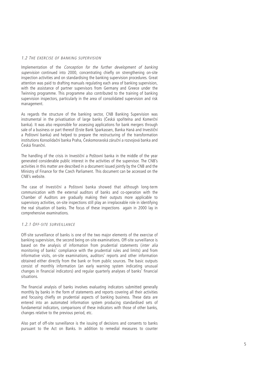# 1.2 THE EXERCISE OF BANKING SUPERVISION

Implementation of the Conception for the further development of banking supervision continued into 2000, concentrating chiefly on strengthening on-site inspection activities and on standardising the banking supervision procedures. Great attention was paid to drafting manuals regulating each area of banking supervision, with the assistance of partner supervisors from Germany and Greece under the Twinning programme. This programme also contributed to the training of banking supervision inspectors, particularly in the area of consolidated supervision and risk management.

As regards the structure of the banking sector, CNB Banking Supervision was instrumental in the privatisation of large banks (Česká spořitelna and Komerční banka). It was also responsible for assessing applications for bank mergers through sale of a business or part thereof (Erste Bank Sparkassen, Banka Haná and Investiční a Poštovní banka) and helped to prepare the restructuring of the transformation institutions Konsolidační banka Praha, Českomoravská záruční a rozvojová banka and Česká finanční.

The handling of the crisis in Investiční a Poštovní banka in the middle of the year generated considerable public interest in the activities of the supervisor. The CNB's activities in this matter are described in a document issued jointly by the CNB and the Ministry of Finance for the Czech Parliament. This document can be accessed on the CNB's website.

The case of Investiční a Poštovní banka showed that although long-term communication with the external auditors of banks and co-operation with the Chamber of Auditors are gradually making their outputs more applicable to supervisory activities, on-site inspections still play an irreplaceable role in identifying the real situation of banks. The focus of these inspections again in 2000 lay in comprehensive examinations.

# 1.2.1 OFF -SITE SURVEILLANCE

Off-site surveillance of banks is one of the two major elements of the exercise of banking supervision, the second being on-site examinations. Off-site surveillance is based on the analysis of information from prudential statements (inter alia monitoring of banks' compliance with the prudential rules and limits) and from informative visits, on-site examinations, auditors' reports and other information obtained either directly from the bank or from public sources. The basic outputs consist of monthly information (an early warning system indicating unusual changes in financial indicators) and regular quarterly analyses of banks' financial situations.

The financial analysis of banks involves evaluating indicators submitted generally monthly by banks in the form of statements and reports covering all their activities and focusing chiefly on prudential aspects of banking business. These data are entered into an automated information system producing standardised sets of fundamental indicators, comparisons of these indicators with those of other banks, changes relative to the previous period, etc.

Also part of off-site surveillance is the issuing of decisions and consents to banks pursuant to the Act on Banks. In addition to remedial measures to counter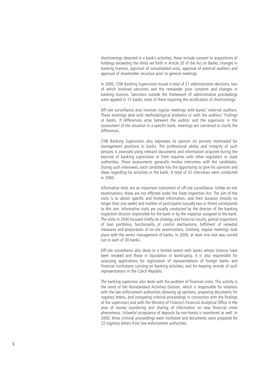shortcomings detected in a bank's activities, these include consent to acquisitions of holdings exceeding the limits set forth in Article 20 of the Act on Banks, changes in banking licences, approval of consolidated units, approval of external auditors and approval of shareholder structure prior to general meetings.

In 2000, CNB Banking Supervision issued a total of 21 administrative decisions, two of which involved sanctions and the remainder prior consents and changes in banking licences. Sanctions outside the framework of administrative proceedings were applied in 12 banks, most of them requiring the rectification of shortcomings.

Off-site surveillance also involves regular meetings with banks' external auditors. These meetings deal with methodological problems or with the auditors' findings at banks. If differences arise between the auditor and the supervisor in the assessment of the situation in a specific bank, meetings are convened to clarify the differences.

CNB Banking Supervision also expresses its opinion on persons nominated for management positions in banks. The professional ability and integrity of such persons is assessed using relevant documents and information acquired during the exercise of banking supervision or from inquiries with other regulators or state authorities. These assessments generally involve interviews with the candidates. During such interviews, each candidate has the opportunity to give his opinions and ideas regarding his activities in the bank. A total of 32 interviews were conducted in 2000.

Informative visits are an important instrument of off-site surveillance. Unlike on-site examinations, these are not effected under the State Inspection Act. The aim of the visits is to obtain specific and limited information, and their duration (mostly no longer than one week) and number of participants (usually two or three) corresponds to this aim. Informative visits are usually conducted by the director of the banking inspection division responsible for the bank or by the inspector assigned to the bank. The visits in 2000 focused chiefly on strategy and financial results, partial inspections of loan portfolios, functionality of control mechanisms, fulfilment of remedial measures and preparation of on-site examinations. Similarly, regular meetings took place with the senior management of banks. In 2000, at least one visit was carried out in each of 30 banks.

Off-site surveillance also deals to a limited extent with banks whose licences have been revoked and those in liquidation or bankruptcy. It is also responsible for assessing applications for registration of representations of foreign banks and financial institutions carrying on banking activities, and for keeping records of such representations in the Czech Republic.

The banking supervisor also deals with the problem of financial crime. This activity is the remit of the Nonstandard Activities Division, which is responsible for relations with the law enforcement authorities (drawing up opinions, preparing documents for rogatory letters, and instigating criminal proceedings in connection with the findings of the supervisor) and with the Ministry of Finance's Financial Analytical Office in the area of money laundering and sharing of information on new financial crime phenomena. Unlawful acceptance of deposits by non-banks is monitored as well. In 2000, three criminal proceedings were instituted and documents were prepared for 22 rogatory letters from law enforcement authorities.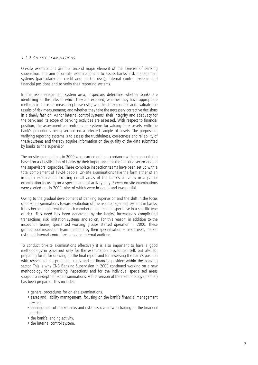# 1.2.2 O N -SITE EXAMINATIONS

On-site examinations are the second major element of the exercise of banking supervision. The aim of on-site examinations is to assess banks' risk management systems (particularly for credit and market risks), internal control systems and financial positions and to verify their reporting systems.

In the risk management system area, inspectors determine whether banks are identifying all the risks to which they are exposed; whether they have appropriate methods in place for measuring these risks; whether they monitor and evaluate the results of risk measurement; and whether they take the necessary corrective decisions in a timely fashion. As for internal control systems, their integrity and adequacy for the bank and its scope of banking activities are assessed. With respect to financial position, the assessment concentrates on systems for valuing bank assets, with the bank's procedures being verified on a selected sample of assets. The purpose of verifying reporting systems is to assess the truthfulness, correctness and reliability of these systems and thereby acquire information on the quality of the data submitted by banks to the supervisor.

The on-site examinations in 2000 were carried out in accordance with an annual plan based on a classification of banks by their importance for the banking sector and on the supervisors' capacities. Three complete inspection teams have been set up with a total complement of 18-24 people. On-site examinations take the form either of an in-depth examination focusing on all areas of the bank's activities or a partial examination focusing on a specific area of activity only. Eleven on-site examinations were carried out in 2000, nine of which were in-depth and two partial.

Owing to the gradual development of banking supervision and the shift in the focus of on-site examinations toward evaluation of the risk management systems in banks, it has become apparent that each member of staff should specialise in a specific type of risk. This need has been generated by the banks' increasingly complicated transactions, risk limitation systems and so on. For this reason, in addition to the inspection teams, specialised working groups started operation in 2000. These groups pool inspection team members by their specialisation – credit risks, market risks and internal control systems and internal auditing.

To conduct on-site examinations effectively it is also important to have a good methodology in place not only for the examination procedure itself, but also for preparing for it, for drawing up the final report and for assessing the bank's position with respect to the prudential rules and its financial position within the banking sector. This is why CNB Banking Supervision in 2000 continued working on a new methodology for organising inspections and for the individual specialised areas subject to in-depth on-site examinations. A first version of the methodology (manual) has been prepared. This includes:

- general procedures for on-site examinations,
- asset and liability management, focusing on the bank's financial management system,
- management of market risks and risks associated with trading on the financial market,
- the bank's lending activity,
- the internal control system.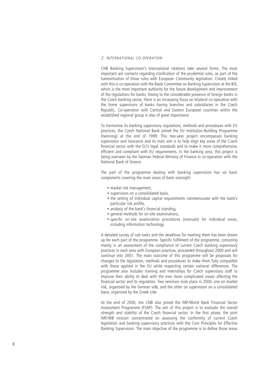### 2. INTERNATIONAL CO -OPERATION

CNB Banking Supervision's international relations take several forms. The most important are contacts regarding clarification of the prudential rules, as part of the harmonisation of those rules with European Community legislation. Closely linked with this is co-operation with the Basle Committee on Banking Supervision at the BIS, which is the most important authority for the future development and improvement of the regulations for banks. Owing to the considerable presence of foreign banks in the Czech banking sector, there is an increasing focus on bilateral co-operation with the home supervisors of banks having branches and subsidiaries in the Czech Republic. Co-operation with Central and Eastern European countries within the established regional group is also of great importance.

To harmonise its banking supervisory regulations, methods and procedures with EU practices, the Czech National Bank joined the EU Institution-Building Programme (twinning) at the end of 1999. This two-year project encompasses banking supervision and insurance and its main aim is to help align key areas of the Czech financial sector with the EU's legal standards and to make it more comprehensive, efficient and compliant with EU requirements. In the banking area, this project is being overseen by the German Federal Ministry of Finance in co-operation with the National Bank of Greece.

The part of the programme dealing with banking supervision has six basic components covering the main areas of bank oversight:

- market risk management,
- supervision on a consolidated basis,
- the setting of individual capital requirements commensurate with the bank's particular risk profile,
- analysis of the bank's financial standing,
- general methods for on-site examinations,
- specific on-site examination procedures (manuals) for individual areas, including information technology.

A detailed survey of sub-tasks and the deadlines for meeting them has been drawn up for each part of the programme. Specific fulfilment of the programme, consisting mainly in an assessment of the compliance of current Czech banking supervisory practices in each area with European practices, proceeded throughout 2000 and will continue into 2001. The main outcome of this programme will be proposals for changes to the legislation, methods and procedures to make them fully compatible with those applied in the EU while respecting certain national differences. The programme also includes training and internships for Czech supervisory staff to improve their ability to deal with the ever more complicated issues affecting the financial sector and its regulation. Two seminars took place in 2000: one on market risk, organised by the German side, and the other on supervision on a consolidated basis, organised by the Greek side.

At the end of 2000, the CNB also joined the IMF/World Bank Financial Sector Assessment Programme (FSAP). The aim of this project is to evaluate the overall strength and stability of the Czech financial sector. In the first phase, the joint IMF/WB mission concentrated on assessing the conformity of current Czech legislation and banking supervisory practices with the Core Principles for Effective Banking Supervision. The main objective of the programme is to define those areas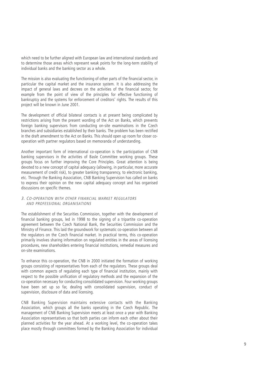which need to be further aligned with European law and international standards and to determine those areas which represent weak points for the long-term stability of individual banks and the banking sector as a whole.

The mission is also evaluating the functioning of other parts of the financial sector, in particular the capital market and the insurance system. It is also addressing the impact of general laws and decrees on the activities of the financial sector, for example from the point of view of the principles for effective functioning of bankruptcy and the systems for enforcement of creditors' rights. The results of this project will be known in June 2001.

The development of official bilateral contacts is at present being complicated by restrictions arising from the present wording of the Act on Banks, which prevents foreign banking supervisors from conducting on-site examinations in the Czech branches and subsidiaries established by their banks. The problem has been rectified in the draft amendment to the Act on Banks. This should open up room for closer cooperation with partner regulators based on memoranda of understanding.

Another important form of international co-operation is the participation of CNB banking supervisors in the activities of Basle Committee working groups. These groups focus on further improving the Core Principles. Great attention is being devoted to a new concept of capital adequacy (allowing, in particular, more accurate measurement of credit risk), to greater banking transparency, to electronic banking, etc. Through the Banking Association, CNB Banking Supervision has called on banks to express their opinion on the new capital adequacy concept and has organised discussions on specific themes.

# 3. C O -OPERATION WITH OTHER FINANCIAL MARKET REGULATORS AND PROFESSIONAL ORGANISATIONS

The establishment of the Securities Commission, together with the development of financial banking groups, led in 1998 to the signing of a tripartite co-operation agreement between the Czech National Bank, the Securities Commission and the Ministry of Finance. This laid the groundwork for systematic co-operation between all the regulators on the Czech financial market. In practical terms, this co-operation primarily involves sharing information on regulated entities in the areas of licensing procedures, new shareholders entering financial institutions, remedial measures and on-site examinations.

To enhance this co-operation, the CNB in 2000 initiated the formation of working groups consisting of representatives from each of the regulators. These groups deal with common aspects of regulating each type of financial institution, mainly with respect to the possible unification of regulatory methods and the expansion of the co-operation necessary for conducting consolidated supervision. Four working groups have been set up so far, dealing with consolidated supervision, conduct of supervision, disclosure of data and licensing.

CNB Banking Supervision maintains extensive contacts with the Banking Association, which groups all the banks operating in the Czech Republic. The management of CNB Banking Supervision meets at least once a year with Banking Association representatives so that both parties can inform each other about their planned activities for the year ahead. At a working level, the co-operation takes place mostly through committees formed by the Banking Association for individual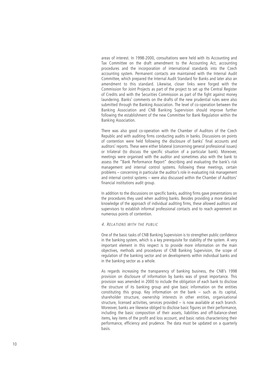areas of interest. In 1998-2000, consultations were held with its Accounting and Tax Committee on the draft amendment to the Accounting Act, accounting procedures and the incorporation of international standards into the Czech accounting system. Permanent contacts are maintained with the Internal Audit Committee, which prepared the Internal Audit Standard for Banks and later also an amendment to this standard. Likewise, closer links were forged with the Commission for Joint Projects as part of the project to set up the Central Register of Credits and with the Securities Commission as part of the fight against money laundering. Banks' comments on the drafts of the new prudential rules were also submitted through the Banking Association. The level of co-operation between the Banking Association and CNB Banking Supervision should improve further following the establishment of the new Committee for Bank Regulation within the Banking Association.

There was also good co-operation with the Chamber of Auditors of the Czech Republic and with auditing firms conducting audits in banks. Discussions on points of contention were held following the disclosure of banks' final accounts and auditors' reports. These were either bilateral (concerning general professional issues) or trilateral (to discuss the specific situation of a particular bank). Moreover, meetings were organised with the auditor and sometimes also with the bank to assess the "Bank Performance Report" describing and evaluating the bank's risk management and internal control systems. Following these meetings, certain problems – concerning in particular the auditor's role in evaluating risk management and internal control systems – were also discussed within the Chamber of Auditors' financial institutions audit group.

In addition to the discussions on specific banks, auditing firms gave presentations on the procedures they used when auditing banks. Besides providing a more detailed knowledge of the approach of individual auditing firms, these allowed auditors and supervisors to establish informal professional contacts and to reach agreement on numerous points of contention.

# 4. RELATIONS WITH THE PUBLIC

One of the basic tasks of CNB Banking Supervision is to strengthen public confidence in the banking system, which is a key prerequisite for stability of the system. A very important element in this respect is to provide more information on the main objectives, methods and procedures of CNB Banking Supervision, the scope of regulation of the banking sector and on developments within individual banks and in the banking sector as a whole.

As regards increasing the transparency of banking business, the CNB's 1998 provision on disclosure of information by banks was of great importance. This provision was amended in 2000 to include the obligation of each bank to disclose the structure of its banking group and give basic information on the entities constituting this group. Key information on the bank – such as its capital, shareholder structure, ownership interests in other entities, organisational structure, licensed activities, services provided – is now available at each branch. Moreover, banks are likewise obliged to disclose basic figures on their performance, including the basic composition of their assets, liabilities and off-balance-sheet items, key items of the profit and loss account, and basic ratios characterising their performance, efficiency and prudence. The data must be updated on a quarterly basis.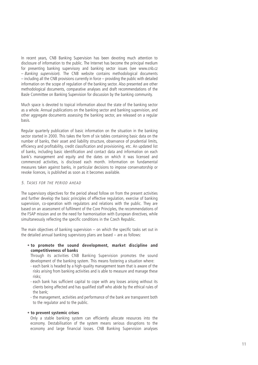In recent years, CNB Banking Supervision has been devoting much attention to disclosure of information to the public. The Internet has become the principal medium for presenting banking supervisory and banking sector issues (see www.cnb.cz – Banking supervision). The CNB website contains methodological documents – including all the CNB provisions currently in force – providing the public with detailed information on the scope of regulation of the banking sector. Also presented are other methodological documents, comparative analyses and draft recommendations of the Basle Committee on Banking Supervision for discussion by the banking community.

Much space is devoted to topical information about the state of the banking sector as a whole. Annual publications on the banking sector and banking supervision, and other aggregate documents assessing the banking sector, are released on a regular basis.

Regular quarterly publication of basic information on the situation in the banking sector started in 2000. This takes the form of six tables containing basic data on the number of banks, their asset and liability structure, observance of prudential limits, efficiency and profitability, credit classification and provisioning, etc. An updated list of banks, including basic identification and contact data and information on each bank's management and equity and the dates on which it was licensed and commenced activities, is disclosed each month. Information on fundamental measures taken against banks, in particular decisions to impose conservatorship or revoke licences, is published as soon as it becomes available.

# 5. TASKS FOR THE PERIOD AHEAD

The supervisory objectives for the period ahead follow on from the present activities and further develop the basic principles of effective regulation, exercise of banking supervision, co-operation with regulators and relations with the public. They are based on an assessment of fulfilment of the Core Principles, the recommendations of the FSAP mission and on the need for harmonisation with European directives, while simultaneously reflecting the specific conditions in the Czech Republic.

The main objectives of banking supervision – on which the specific tasks set out in the detailed annual banking supervisory plans are based – are as follows:

# • **to promote the sound development, market discipline and competitiveness of banks**

Through its activities CNB Banking Supervision promotes the sound development of the banking system. This means fostering a situation where:

- each bank is headed by a high-quality management team that is aware of the risks arising from banking activities and is able to measure and manage these risks;
- each bank has sufficient capital to cope with any losses arising without its clients being affected and has qualified staff who abide by the ethical rules of the bank;
- the management, activities and performance of the bank are transparent both to the regulator and to the public.

# • **to prevent systemic crises**

Only a stable banking system can efficiently allocate resources into the economy. Destabilisation of the system means serious disruptions to the economy and large financial losses. CNB Banking Supervision analyses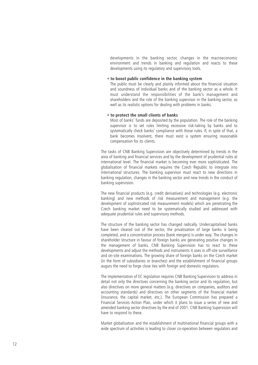developments in the banking sector, changes in the macroeconomic environment and trends in banking and regulation and reacts to these developments using its regulatory and supervisory tools.

# • **to boost public confidence in the banking system**

The public must be clearly and plainly informed about the financial situation and soundness of individual banks and of the banking sector as a whole. It must understand the responsibilities of the bank's management and shareholders and the role of the banking supervisor in the banking sector, as well as its realistic options for dealing with problems in banks.

# • **to protect the small clients of banks**

Most of banks' funds are deposited by the population. The role of the banking supervisor is to set rules limiting excessive risk-taking by banks and to systematically check banks' compliance with those rules. If, in spite of that, a bank becomes insolvent, there must exist a system ensuring reasonable compensation for its clients.

The tasks of CNB Banking Supervision are objectively determined by trends in the area of banking and financial services and by the development of prudential rules at international level. The financial market is becoming ever more sophisticated. The globalisation of financial markets requires the Czech Republic to integrate into international structures. The banking supervisor must react to new directions in banking regulation, changes in the banking sector and new trends in the conduct of banking supervision.

The new financial products (e.g. credit derivatives) and technologies (e.g. electronic banking) and new methods of risk measurement and management (e.g. the development of sophisticated risk measurement models) which are penetrating the Czech banking market need to be systematically studied and addressed with adequate prudential rules and supervisory methods.

The structure of the banking sector has changed radically. Undercapitalised banks have been cleared out of the sector, the privatisation of large banks is being completed, and a concentration process (bank mergers) is under way. The changes in shareholder structure in favour of foreign banks are generating positive changes in the management of banks. CNB Banking Supervision has to react to these developments and adjust the methods and instruments it uses in off-site surveillance and on-site examinations. The growing share of foreign banks on the Czech market (in the form of subsidiaries or branches) and the establishment of financial groups augurs the need to forge close ties with foreign and domestic regulators.

The implementation of EC legislation requires CNB Banking Supervision to address in detail not only the directives concerning the banking sector and its regulation, but also directives on more general matters (e.g. directives on companies, auditors and accounting standards) and directives on other segments of the financial market (insurance, the capital market, etc.). The European Commission has prepared a Financial Services Action Plan, under which it plans to issue a series of new and amended banking sector directives by the end of 2001. CNB Banking Supervision will have to respond to these.

Market globalisation and the establishment of multinational financial groups with a wide spectrum of activities is leading to closer co-operation between regulators and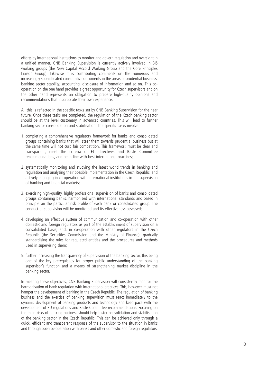efforts by international institutions to monitor and govern regulation and oversight in a unified manner. CNB Banking Supervision is currently actively involved in BIS working groups (the New Capital Accord Working Group and the Core Principles Liaison Group). Likewise it is contributing comments on the numerous and increasingly sophisticated consultative documents in the areas of prudential business, banking sector stability, accounting, disclosure of information and so on. This cooperation on the one hand provides a great opportunity for Czech supervisors and on the other hand represents an obligation to prepare high-quality opinions and recommendations that incorporate their own experience.

All this is reflected in the specific tasks set by CNB Banking Supervision for the near future. Once these tasks are completed, the regulation of the Czech banking sector should be at the level customary in advanced countries. This will lead to further banking sector consolidation and stabilisation. The specific tasks involve:

- 1. completing a comprehensive regulatory framework for banks and consolidated groups containing banks that will steer them towards prudential business but at the same time will not curb fair competition. This framework must be clear and transparent, meet the criteria of EC directives and Basle Committee recommendations, and be in line with best international practices;
- 2. systematically monitoring and studying the latest world trends in banking and regulation and analysing their possible implementation in the Czech Republic; and actively engaging in co-operation with international institutions in the supervision of banking and financial markets;
- 3. exercising high-quality, highly professional supervision of banks and consolidated groups containing banks, harmonised with international standards and based in principle on the particular risk profile of each bank or consolidated group. The conduct of supervision will be monitored and its effectiveness assessed;
- 4. developing an effective system of communication and co-operation with other domestic and foreign regulators as part of the establishment of supervision on a consolidated basis; and, in co-operation with other regulators in the Czech Republic (the Securities Commission and the Ministry of Finance), gradually standardising the rules for regulated entities and the procedures and methods used in supervising them;
- 5. further increasing the transparency of supervision of the banking sector, this being one of the key prerequisites for proper public understanding of the banking supervisor's function and a means of strengthening market discipline in the banking sector.

In meeting these objectives, CNB Banking Supervision will consistently monitor the harmonisation of bank regulation with international practices. This, however, must not hamper the development of banking in the Czech Republic. The regulation of banking business and the exercise of banking supervision must react immediately to the dynamic development of banking products and technology and keep pace with the development of EU regulations and Basle Committee recommendations. Focusing on the main risks of banking business should help foster consolidation and stabilisation of the banking sector in the Czech Republic. This can be achieved only through a quick, efficient and transparent response of the supervisor to the situation in banks and through open co-operation with banks and other domestic and foreign regulators.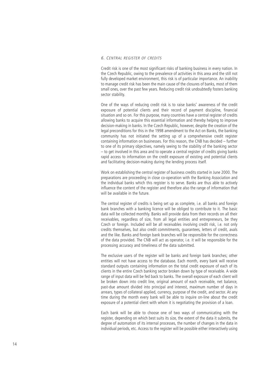# 6. CENTRAL REGISTER OF CREDITS

Credit risk is one of the most significant risks of banking business in every nation. In the Czech Republic, owing to the prevalence of activities in this area and the still not fully developed market environment, this risk is of particular importance. An inability to manage credit risk has been the main cause of the closures of banks, most of them small ones, over the past few years. Reducing credit risk undoubtedly fosters banking sector stability.

One of the ways of reducing credit risk is to raise banks' awareness of the credit exposure of potential clients and their record of payment discipline, financial situation and so on. For this purpose, many countries have a central register of credits allowing banks to acquire this essential information and thereby helping to improve decision-making in banks. In the Czech Republic, however, despite the creation of the legal preconditions for this in the 1998 amendment to the Act on Banks, the banking community has not initiated the setting up of a comprehensive credit register containing information on businesses. For this reason, the CNB has decided – further to one of its primary objectives, namely seeing to the stability of the banking sector – to get involved in this area and to operate a central register of credits giving banks rapid access to information on the credit exposure of existing and potential clients and facilitating decision-making during the lending process itself.

Work on establishing the central register of business credits started in June 2000. The preparations are proceeding in close co-operation with the Banking Association and the individual banks which this register is to serve. Banks are thus able to actively influence the content of the register and therefore also the range of information that will be available in the future.

The central register of credits is being set up as complete, i.e. all banks and foreign bank branches with a banking licence will be obliged to contribute to it. The basic data will be collected monthly. Banks will provide data from their records on all their receivables, regardless of size, from all legal entities and entrepreneurs, be they Czech or foreign. Included will be all receivables involving credit risk, i.e. not only credits themselves, but also credit commitments, guarantees, letters of credit, avals and the like. Banks and foreign bank branches will be responsible for the correctness of the data provided. The CNB will act as operator, i.e. it will be responsible for the processing accuracy and timeliness of the data submitted.

The exclusive users of the register will be banks and foreign bank branches; other entities will not have access to the database. Each month, every bank will receive standard outputs containing information on the total credit exposure of each of its clients in the entire Czech banking sector broken down by type of receivable. A wide range of input data will be fed back to banks. The overall exposure of each client will be broken down into credit line, original amount of each receivable, net balance, past-due amount divided into principal and interest, maximum number of days in arrears, types of collateral applied, currency, purpose of the credit, and sector. At any time during the month every bank will be able to inquire on-line about the credit exposure of a potential client with whom it is negotiating the provision of a loan.

Each bank will be able to choose one of two ways of communicating with the register, depending on which best suits its size, the extent of the data it submits, the degree of automation of its internal processes, the number of changes in the data in individual periods, etc. Access to the register will be possible either interactively using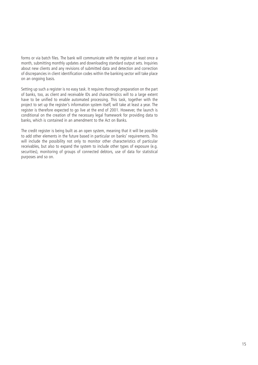forms or via batch files. The bank will communicate with the register at least once a month, submitting monthly updates and downloading standard output sets. Inquiries about new clients and any revisions of submitted data and detection and correction of discrepancies in client identification codes within the banking sector will take place on an ongoing basis.

Setting up such a register is no easy task. It requires thorough preparation on the part of banks, too, as client and receivable IDs and characteristics will to a large extent have to be unified to enable automated processing. This task, together with the project to set up the register's information system itself, will take at least a year. The register is therefore expected to go live at the end of 2001. However, the launch is conditional on the creation of the necessary legal framework for providing data to banks, which is contained in an amendment to the Act on Banks.

The credit register is being built as an open system, meaning that it will be possible to add other elements in the future based in particular on banks' requirements. This will include the possibility not only to monitor other characteristics of particular receivables, but also to expand the system to include other types of exposure (e.g. securities), monitoring of groups of connected debtors, use of data for statistical purposes and so on.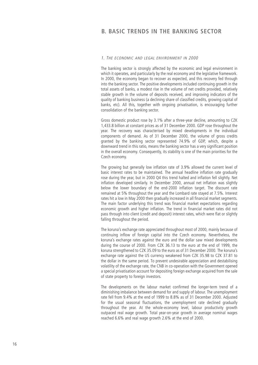# 1. THE ECONOMIC AND LEGAL ENVIRONMENT IN 2000

The banking sector is strongly affected by the economic and legal environment in which it operates, and particularly by the real economy and the legislative framework. In 2000, the economy began to recover as expected, and this recovery fed through into the banking sector. The positive developments included continuing growth in the total assets of banks, a modest rise in the volume of net credits provided, relatively stable growth in the volume of deposits received, and improving indicators of the quality of banking business (a declining share of classified credits, growing capital of banks, etc). All this, together with ongoing privatisation, is encouraging further consolidation of the banking sector.

Gross domestic product rose by 3.1% after a three-year decline, amounting to CZK 1,433.8 billion at constant prices as of 31 December 2000. GDP rose throughout the year. The recovery was characterised by mixed developments in the individual components of demand. As of 31 December 2000, the volume of gross credits granted by the banking sector represented 74.9% of GDP, which, despite a downward trend in this ratio, means the banking sector has a very significant position in the overall economy. Consequently, its stability is one of the main priorities for the Czech economy.

The growing but generally low inflation rate of 3.9% allowed the current level of basic interest rates to be maintained. The annual headline inflation rate gradually rose during the year, but in 2000 Q4 this trend halted and inflation fell slightly. Net inflation developed similarly. In December 2000, annual net inflation was slightly below the lower boundary of the end-2000 inflation target. The discount rate remained at 5% throughout the year and the Lombard rate stayed at 7.5%. Interest rates hit a low in May 2000 then gradually increased in all financial market segments. The main factor underlying this trend was financial market expectations regarding economic growth and higher inflation. The trend in financial market rates did not pass through into client (credit and deposit) interest rates, which were flat or slightly falling throughout the period.

The koruna's exchange rate appreciated throughout most of 2000, mainly because of continuing inflow of foreign capital into the Czech economy. Nevertheless, the koruna's exchange rates against the euro and the dollar saw mixed developments during the course of 2000. From CZK 36.13 to the euro at the end of 1999, the koruna strengthened to CZK 35.09 to the euro as of 31 December 2000. The koruna's exchange rate against the US currency weakened from CZK 35.98 to CZK 37.81 to the dollar in the same period. To prevent undesirable appreciation and destabilising volatility of the exchange rate, the CNB in co-operation with the Government opened a special privatisation account for depositing foreign exchange acquired from the sale of state property to foreign investors.

The developments on the labour market confirmed the longer-term trend of a diminishing imbalance between demand for and supply of labour. The unemployment rate fell from 9.4% at the end of 1999 to 8.8% as of 31 December 2000. Adjusted for the usual seasonal fluctuations, the unemployment rate declined gradually throughout the year. At the whole-economy level, labour productivity growth outpaced real wage growth. Total year-on-year growth in average nominal wages reached 6.6% and real wage growth 2.6% at the end of 2000.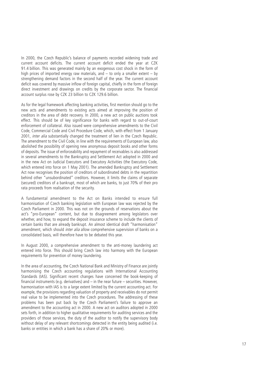In 2000, the Czech Republic's balance of payments recorded widening trade and current account deficits. The current account deficit ended the year at CZK 91.4 billion. This was generated mainly by an exogenous cost shock in the form of high prices of imported energy raw materials, and  $-$  to only a smaller extent  $-$  by strengthening demand factors in the second half of the year. The current account deficit was covered by massive inflow of foreign capital, chiefly in the form of foreign direct investment and drawings on credits by the corporate sector. The financial account surplus rose by CZK 23 billion to CZK 129.6 billion.

As for the legal framework affecting banking activities, first mention should go to the new acts and amendments to existing acts aimed at improving the position of creditors in the area of debt recovery. In 2000, a new act on public auctions took effect. This should be of key significance for banks with regard to out-of-court enforcement of collateral. Also issued were comprehensive amendments to the Civil Code, Commercial Code and Civil Procedure Code, which, with effect from 1 January 2001, *inter alia* substantially changed the treatment of lien in the Czech Republic. The amendment to the Civil Code, in line with the requirements of European law, also abolished the possibility of opening new anonymous deposit books and other forms of deposits. The issue of enforceability and repayment of receivables is also addressed in several amendments to the Bankruptcy and Settlement Act adopted in 2000 and in the new Act on Judicial Executors and Executory Activities (the Executory Code, which entered into force on 1 May 2001). The amended Bankruptcy and Settlement Act now recognises the position of creditors of subordinated debts in the repartition behind other "unsubordinated" creditors. However, it limits the claims of separate (secured) creditors of a bankrupt, most of which are banks, to just 70% of their pro rata proceeds from realisation of the security.

A fundamental amendment to the Act on Banks intended to ensure full harmonisation of Czech banking legislation with European law was rejected by the Czech Parliament in 2000. This was not on the grounds of reservations about the act's "pro-European" content, but due to disagreement among legislators over whether, and how, to expand the deposit insurance scheme to include the clients of certain banks that are already bankrupt. An almost identical draft "harmonisation" amendment, which should *inter alia* allow comprehensive supervision of banks on a consolidated basis, will therefore have to be debated this year.

In August 2000, a comprehensive amendment to the anti-money laundering act entered into force. This should bring Czech law into harmony with the European requirements for prevention of money laundering.

In the area of accounting, the Czech National Bank and Ministry of Finance are jointly harmonising the Czech accounting regulations with International Accounting Standards (IAS). Significant recent changes have concerned the book-keeping of financial instruments (e.g. derivatives) and  $-$  in the near future  $-$  securities. However, harmonisation with IAS is to a large extent limited by the current accounting act. For example, the provisions regarding valuation of property and receivables do not permit real value to be implemented into the Czech procedures. The addressing of these problems has been put back by the Czech Parliament's failure to approve an amendment to the accounting act in 2000. A new act on auditors adopted in 2000 sets forth, in addition to higher qualitative requirements for auditing services and the providers of those services, the duty of the auditor to notify the supervisory body without delay of any relevant shortcomings detected in the entity being audited (i.e. banks or entities in which a bank has a share of 20% or more).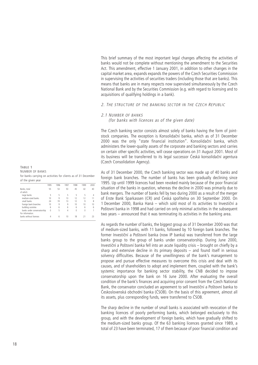This brief summary of the most important legal changes affecting the activities of banks would not be complete without mentioning the amendment to the Securities Act. This amendment, effective 1 January 2001, in addition to other changes in the capital market area, expands expands the powers of the Czech Securities Commission in supervising the activities of securities traders (including those that are banks). This means that banks are in many respects now supervised simultaneously by the Czech National Bank and by the Securities Commission (e.g. with regard to licensing and to acquisitions of qualifying holdings in a bank).

# 2. THE STRUCTURE OF THE BANKING SECTOR IN THE CZECH REPUBLIC

### 2.1 NUMBER OF BANKS

(for banks with licences as of the given date)

The Czech banking sector consists almost solely of banks having the form of jointstock companies. The exception is Konsolidační banka, which as of 31 December 2000 was the only "state financial institution". Konsolidační banka, which administers the lower-quality assets of the corporate and banking sectors and carries on certain other specific activities, will cease operations on 31 August 2001. Most of its business will be transferred to its legal successor Česká konsolidační agentura (Czech Consolidation Agency).

As of 31 December 2000, the Czech banking sector was made up of 40 banks and foreign bank branches. The number of banks has been gradually declining since 1995. Up until 1999 licences had been revoked mainly because of the poor financial situation of the banks in question, whereas the decline in 2000 was primarily due to bank mergers. The number of banks fell by two during 2000 as a result of the merger of Erste Bank Sparkassen (CR) and Česká spořitelna on 30 September 2000. On 1 December 2000, Banka Haná – which sold most of its activities to Investiční a Poštovní banka in 1998 and had carried on only minimal activities in the subsequent two years – announced that it was terminating its activities in the banking area.

As regards the number of banks, the biggest group as of 31 December 2000 was that of medium-sized banks, with 11 banks, followed by 10 foreign bank branches. The former Investiční a Poštovní banka (now IP banka) was transferred from the large banks group to the group of banks under conservatorship. During June 2000, Investiční a Poštovní banka fell into an acute liquidity crisis – brought on chiefly by a sharp and extensive decline in its primary deposits – and found itself in serious solvency difficulties. Because of the unwillingness of the bank's management to propose and pursue effective measures to overcome this crisis and deal with its causes, and of shareholders to adopt and implement them, coupled with the bank's systemic importance for banking sector stability, the CNB decided to impose conservatorship upon the bank on 16 June 2000. After evaluating the overall condition of the bank's finances and acquiring prior consent from the Czech National Bank, the conservator concluded an agreement to sell Investiční a Poštovní banka to Československá obchodní banka (ČSOB). On the basis of this agreement, almost all its assets, plus corresponding funds, were transferred to ČSOB.

The sharp decline in the number of small banks is associated with revocation of the banking licences of poorly performing banks, which belonged exclusively to this group, and with the development of foreign banks, which have gradually shifted to the medium-sized banks group. Of the 63 banking licences granted since 1989, a total of 23 have been terminated, 17 of them because of poor financial condition and

NUMBER OF BANKS for banks carrying on activities for clients as of 31 December of the given year

**TABLE 1** 

|                             | 1995     | 1996 | 1997 | 1998 | 1999 | 2000 |
|-----------------------------|----------|------|------|------|------|------|
| Banks, total                | 55       | 53   | 50   | 45   | 42   | 40   |
| of which                    |          |      |      |      |      |      |
| large banks                 | 5        | 5    | 5    | 5    | 5    |      |
| medium-sized banks          | 10       | 9    | 13   | 12   | 12   |      |
| small banks                 | 24       | 19   | 13   | 12   | 9    | 8    |
| foreign bank branches       | 10       | 9    | 9    | 10   | 10   | 10   |
| building societies          | 6        | 6    | 6    | 6    | 6    | 6    |
| banks under conservatorship | $\theta$ |      | 4    | 0    | 0    |      |
| For information:            |          |      |      |      |      |      |
| banks without licences      |          |      |      | 18   |      |      |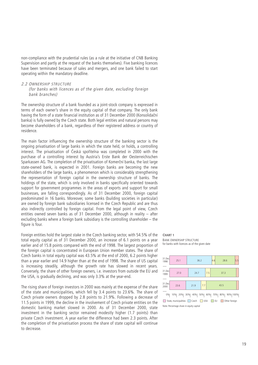non-compliance with the prudential rules (as a rule at the initiative of CNB Banking Supervision and partly at the request of the banks themselves). Five banking licences have been terminated because of sales and mergers, and one bank failed to start operating within the mandatory deadline.

# 2.2 OWNERSHIP STRUCTURE (for banks with licences as of the given date, excluding foreign bank branches)

The ownership structure of a bank founded as a joint-stock company is expressed in terms of each owner's share in the equity capital of that company. The only bank having the form of a state financial institution as of 31 December 2000 (Konsolidační banka) is fully owned by the Czech state. Both legal entities and natural persons may become shareholders of a bank, regardless of their registered address or country of residence.

The main factor influencing the ownership structure of the banking sector is the ongoing privatisation of large banks in which the state held, or holds, a controlling interest. The privatisation of Česká spořitelna was completed in 2000 with the purchase of a controlling interest by Austria's Erste Bank der Oesterreichischen Sparkassen AG. The completion of the privatisation of Komerční banka, the last large state-owned bank, is expected in 2001. Foreign banks are becoming the new shareholders of the large banks, a phenomenon which is considerably strengthening the representation of foreign capital in the ownership structure of banks. The holdings of the state, which is only involved in banks specifically oriented towards support for government programmes in the areas of exports and support for small businesses, are falling correspondingly. As of 31 December 2000, foreign capital predominated in 16 banks. Moreover, some banks (building societies in particular) are owned by foreign bank subsidiaries licensed in the Czech Republic and are thus also indirectly controlled by foreign capital. From the legal point of view, Czech entities owned seven banks as of 31 December 2000, although in reality – after excluding banks where a foreign bank subsidiary is the controlling shareholder – the figure is four.

Foreign entities hold the largest stake in the Czech banking sector, with 54.5% of the total equity capital as of 31 December 2000, an increase of 6.1 points on a year earlier and of 15.8 points compared with the end of 1998. The largest proportion of the foreign capital is concentrated in European Union member states. The share of Czech banks in total equity capital was 43.5% at the end of 2000, 6.2 points higher than a year earlier and 14.9 higher than at the end of 1998. The share of US capital is increasing steadily, although the growth rate has slowed in recent years. Conversely, the share of other foreign owners, i.e. investors from outside the EU and the USA, is gradually declining, and was only 3.3% at the year-end.

The rising share of foreign investors in 2000 was mainly at the expense of the share of the state and municipalities, which fell by 3.4 points to 23.6%. The share of Czech private owners dropped by 2.8 points to 21.9%. Following a decrease of 11.5 points in 1999, the decline in the involvement of Czech private entities on the domestic banking market slowed in 2000. As of 31 December 2000, state investment in the banking sector remained modestly higher (1.7 points) than private Czech investment. A year earlier the difference had been 2.3 points. After the completion of the privatisation process the share of state capital will continue to decrease.

#### **CHART 1** BANK OWNERSHIP STRUCTURE for banks with licences as of the given date



0% 10% 20% 30% 40% 50% 60% 70% 80% 90% 100% State, municipalities Czech USA EU Other foreign Note: Percentage share in equity capital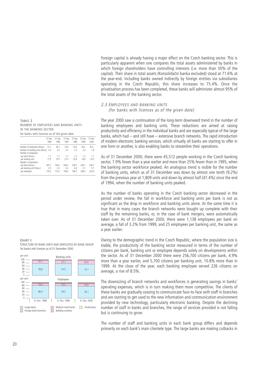Foreign capital is already having a major effect on the Czech banking sector. This is particularly apparent when one compares the total assets administered by banks in which foreign shareholders have controlling interests (i.e. more than 50% of the capital). Their share in total assets (Konsolidační banka excluded) stood at 71.6% at the year-end. Including banks owned indirectly by foreign entities via subsidiaries operating in the Czech Republic, this share increases to 75.4%. Once the privatisation process has been completed, these banks will administer almost 95% of the total assets of the banking sector.

# 2.3 EMPLOYEES AND BANKING UNITS (for banks with licences as of the given date)

The year 2000 saw a continuation of the long-term downward trend in the number of banking employees and banking units. These reductions are aimed at raising productivity and efficiency in the individual banks and are especially typical of the large banks, which had – and still have – extensive branch networks. The rapid introduction of modern electronic banking services, which virtually all banks are starting to offer in one form or another, is also enabling banks to streamline their operations.

As of 31 December 2000, there were 45,512 people working in the Czech banking sector, 7.9% fewer than a year earlier and more than 25% fewer than in 1995, when the banking sector workforce peaked. An analogous trend is visible for the number of banking units, which as of 31 December was down by almost one tenth (9.2%) from the previous year at 1,809 units and down by almost half (47.4%) since the end of 1994, when the number of banking units peaked.

As the number of banks operating in the Czech banking sector decreased in the period under review, the fall in workforce and banking units per bank is not as significant as the drop in workforce and banking units alone. At the same time it is true that in many cases the branch networks were bought up complete with their staff by the remaining banks, or, in the case of bank mergers, were automatically taken over. As of 31 December 2000, there were 1,138 employees per bank on average, a fall of 3.2% from 1999, and 25 employees per banking unit, the same as a year earlier.

Owing to the demographic trend in the Czech Republic, where the population size is stable, the productivity of the banking sector measured in terms of the number of citizens per bank, banking unit or employee depends solely on developments within the sector. As of 31 December 2000 there were 256,700 citizens per bank, 4.9% more than a year earlier, and 5,700 citizens per banking unit, 10.8% more than in 1999. At the close of the year, each banking employee served 226 citizens on average, a rise of 8.5%.

The downsizing of branch networks and workforces is generating savings in banks' operating expenses, which is in turn making them more competitive. The clients of these banks are gradually ceasing to communicate face-to-face with staff in branches and are starting to get used to the new information and communication environment provided by new technology, particularly electronic banking. Despite the declining number of staff in banks and branches, the range of services provided is not falling but is continuing to grow.

The number of staff and banking units in each bank group differs and depends primarily on each bank's main clientele type. The large banks are making cutbacks in

**TABLE 2**  NUMBER OF EMPLOYEES AND BANKING UNITS IN THE BANKING SECTOR for banks with licences as of the given date

|                                      | 31 Dec.<br>1995 | 31 Dec.<br>1996 | 31 Dec.<br>1997 | 31 Dec.<br>1998 | 31 Dec.<br>1999 | 31 Dec.<br>2000 |
|--------------------------------------|-----------------|-----------------|-----------------|-----------------|-----------------|-----------------|
| Number of employees (thous.)         | 61.1            | 60.1            | 54.0            | 52.8            | 49.4            | 45.5            |
| Number of banking units (thous.) 3.4 |                 | 3.2             | 2.5             | 2.2             | 2.0             | 1.8             |
| Number of employees                  |                 |                 |                 |                 |                 |                 |
| per bank (thous.)                    | 1.1             | 1.1             | 1.1             | 1.7             | 1.2             | 1.1             |
| per banking unit                     | 17.9            | 19.0            | 21.9            | 23.8            | 24.6            | 25.0            |
| Number of population                 |                 |                 |                 |                 |                 |                 |
| per bank (thous.)                    | 187.7           | 194.5           | 206.0           | 228.7           | 244.7           | 256.7           |
| per banking unit (thous.)            | 3.0             | 3.3             | 4.2             | 4.6             | 5.1             | 5.7             |
| per employee                         | 170.0           | 172.0           | 190.8           | 196.0           | 208.0           | 225.6           |
|                                      |                 |                 |                 |                 |                 |                 |

#### **CHART 2**

STRUCTURE OF BANK UNITS AND EMPLOYEES BY BANK GROUP for banks with licences as of 31 December 2000

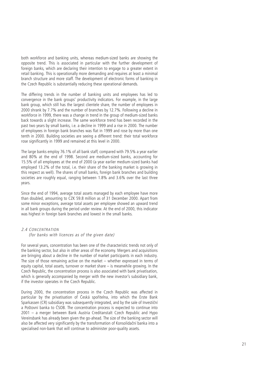both workforce and banking units, whereas medium-sized banks are showing the opposite trend. This is associated in particular with the further development of foreign banks, which are declaring their intention to engage to a greater extent in retail banking. This is operationally more demanding and requires at least a minimal branch structure and more staff. The development of electronic forms of banking in the Czech Republic is substantially reducing these operational demands.

The differing trends in the number of banking units and employees has led to convergence in the bank groups' productivity indicators. For example, in the large bank group, which still has the largest clientele share, the number of employees in 2000 shrank by 7.7% and the number of branches by 12.7%. Following a decline in workforce in 1999, there was a change in trend in the group of medium-sized banks back towards a slight increase. The same workforce trend has been recorded in the past two years by small banks, i.e. a decline in 1999 and a rise in 2000. The number of employees in foreign bank branches was flat in 1999 and rose by more than one tenth in 2000. Building societies are seeing a different trend: their total workforce rose significantly in 1999 and remained at this level in 2000.

The large banks employ 76.1% of all bank staff, compared with 79.5% a year earlier and 80% at the end of 1998. Second are medium-sized banks, accounting for 15.5% of all employees at the end of 2000 (a year earlier medium-sized banks had employed 13.2% of the total, i.e. their share of the banking market is growing in this respect as well). The shares of small banks, foreign bank branches and building societies are roughly equal, ranging between 1.8% and 3.6% over the last three years.

Since the end of 1994, average total assets managed by each employee have more than doubled, amounting to CZK 59.8 million as of 31 December 2000. Apart from some minor exceptions, average total assets per employee showed an upward trend in all bank groups during the period under review. At the end of 2000, this indicator was highest in foreign bank branches and lowest in the small banks.

# 2.4 CONCENTRATION

# (for banks with licences as of the given date)

For several years, concentration has been one of the characteristic trends not only of the banking sector, but also in other areas of the economy. Mergers and acquisitions are bringing about a decline in the number of market participants in each industry. The size of those remaining active on the market – whether expressed in terms of equity capital, total assets, turnover or market share – is meanwhile growing. In the Czech Republic, the concentration process is also associated with bank privatisation, which is generally accompanied by merger with the new investor's subsidiary bank, if the investor operates in the Czech Republic.

During 2000, the concentration process in the Czech Republic was affected in particular by the privatisation of Česká spořitelna, into which the Erste Bank Sparkassen (CR) subsidiary was subsequently integrated, and by the sale of Investiční a Poštovní banka to ČSOB. The concentration process is expected to continue into 2001 – a merger between Bank Austria Creditanstalt Czech Republic and Hypo Vereinsbank has already been given the go-ahead. The size of the banking sector will also be affected very significantly by the transformation of Konsolidační banka into a specialised non-bank that will continue to administer poor-quality assets.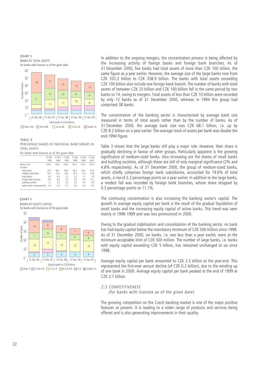

**TABLE 3**  PERCENTAGE SHARES OF INDIVIDUAL BANK GROUPS IN TOTAL ASSETS

|  | for banks with licences as of the given date |  |  |  |
|--|----------------------------------------------|--|--|--|
|  |                                              |  |  |  |

|                             | 31 Dec.<br>1995 | 31 Dec<br>1996 | 31 Dec.<br>1997 | 31 Dec.<br>1998 | 31 Dec.<br>1999 | 31 Dec.<br>2000 |
|-----------------------------|-----------------|----------------|-----------------|-----------------|-----------------|-----------------|
| Banks, total                | 100.0           | 100.0          | 100.0           | 100.0           | 100.0           | 100.0           |
| of which                    |                 |                |                 |                 |                 |                 |
| large banks                 | 70.0            | 68.1           | 66.6            | 66.2            | 65.0            | 61.9            |
| medium-sized banks          | 14.7            | 12.6           | 16.4            | 16.9            | 17.4            | 19.6            |
| small banks                 | 8.2             | 6.9            | 3.1             | 3.2             | 1.7             | 2.0             |
| foreign bank branches       | 6.0             | 6.4            | 7.8             | 9.5             | 11.4            | 11.1            |
| building societies          | 1.1             | 2.0            | 3.0             | 4.2             | 4.5             | 4.8             |
| banks under conservatorship | 0.0             | 4.0            | 31              | 0.0             | 0.0             | 0.6             |
|                             |                 |                |                 |                 |                 |                 |

**CHART 4** BANKS BY EQUITY CAPITAL for banks with licences as of the given date



In addition to the ongoing mergers, the concentration process is being affected by the increasing activity of foreign banks and foreign bank branches. As of 31 December 2000, five banks had total assets of more than CZK 100 billion, the same figure as a year earlier. However, the average size of the large banks rose from CZK 332.2 billion to CZK 358.9 billion. The banks with total assets exceeding CZK 100 billion also include one foreign bank branch. The number of banks with total assets of between CZK 25 billion and CZK 100 billion fell in the same period by two banks to 14, owing to mergers. Total assets of less than CZK 10 billion were recorded by only 12 banks as of 31 December 2000, whereas in 1994 this group had comprised 38 banks.

The concentration of the banking sector is characterised by average bank size measured in terms of total assets rather than by the number of banks. As of 31 December 2000, the average bank size was CZK 68.1 billion, i.e. up by CZK 8.2 billion on a year earlier. The average stock of assets per bank was double the end-1994 figure.

Table 3 shows that the large banks still play a major role. However, their share is gradually declining in favour of other groups. Particularly apparent is the growing significance of medium-sized banks. Also increasing are the shares of small banks and building societies, although these are still of only marginal significance (2% and 4.8% respectively). As of 31 December 2000, the group of medium-sized banks, which chiefly comprises foreign bank subsidiaries, accounted for 19.6% of total assets, a rise of 2.2 percentage points on a year earlier. In addition to the large banks, a modest fall was recorded by foreign bank branches, whose share dropped by 0.3 percentage points to 11.1%.

The continuing concentration is also increasing the banking sector's capital. The growth in average equity capital per bank is the result of the gradual liquidation of small banks and the increasing equity capital of active banks. This trend was seen mainly in 1996-1999 and was less pronounced in 2000.

Owing to the gradual stabilisation and consolidation of the banking sector, no bank has had equity capital below the mandatory minimum of CZK 500 million since 1998. As of 31 December 2000, six banks, i.e. one less than a year earlier, were at the minimum acceptable limit of CZK 500 million. The number of large banks, i.e. banks with equity capital exceeding CZK 5 billion, has remained unchanged at six since 1998.

Average equity capital per bank amounted to CZK 2.5 billion at the year-end. This represented the first-ever annual decline (of CZK 0.2 billion), due to the winding up of one bank in 2000. Average equity capital per bank peaked at the end of 1999 at CZK 2.7 billion.

# 2.5 COMPETITIVENESS

(for banks with licences as of the given date)

The growing competition on the Czech banking market is one of the major positive features at present. It is leading to a wider range of products and services being offered and is also generating improvements in their quality.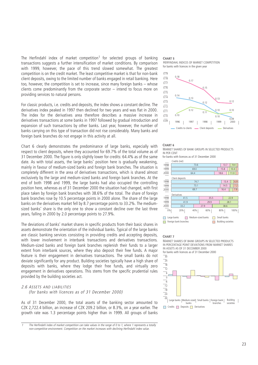The Herfindahl index of market competition<sup>1</sup> for selected groups of banking transactions suggests a further intensification of market conditions. By comparison with 1999, however, the pace of this trend slowed somewhat. The greatest competition is on the credit market. The least competitive market is that for non-bank client deposits, owing to the limited number of banks engaged in retail banking. Here too, however, the competition is set to increase, since many foreign banks – whose clients come predominantly from the corporate sector – intend to focus more on providing services to natural persons.

For classic products, i.e. credits and deposits, the index shows a constant decline. The derivatives index peaked in 1997 then declined for two years and was flat in 2000. The index for the derivatives area therefore describes a massive increase in derivatives transactions at some banks in 1997 followed by gradual introduction and expansion of such transactions by other banks. Last year, however, the number of banks carrying on this type of transaction did not rise considerably. Many banks and foreign bank branches do not engage in this activity at all.

Chart 6 clearly demonstrates the predominance of large banks, especially with respect to client deposits, where they accounted for 69.7% of the total volume as of 31 December 2000. The figure is only slightly lower for credits: 64.4% as of the same date. As with total assets, the large banks' position here is gradually weakening, mainly in favour of medium-sized banks and foreign bank branches. The situation is completely different in the area of derivatives transactions, which is shared almost exclusively by the large and medium-sized banks and foreign bank branches. At the end of both 1998 and 1999, the large banks had also occupied the controlling position here, whereas as of 31 December 2000 the situation had changed, with first place taken by foreign bank branches with 38.6% of the total. The share of foreign bank branches rose by 10.5 percentage points in 2000 alone. The share of the large banks on the derivatives market fell by 8.7 percentage points to 33.2%. The mediumsized banks' share is the only one to show a constant decline over the last three years, falling in 2000 by 2.0 percentage points to 27.9%.

The deviations of banks' market shares in specific products from their basic shares in assets demonstrate the orientation of the individual banks. Typical of the large banks are classic banking services consisting in providing credits and accepting deposits, with lower involvement in interbank transactions and derivatives transactions. Medium-sized banks and foreign bank branches replenish their funds to a larger extent from interbank sources, where they also deposit their free funds. A major feature is their engagement in derivatives transactions. The small banks do not deviate significantly for any product. Building societies typically have a high share of deposits with banks, where they lodge their free funds, and virtually zero engagement in derivatives operations. This stems from the specific prudential rules provided by the building societies act.

# 2.6 ASSETS AND LIABILITIES

(for banks with licences as of 31 December 2000)

As of 31 December 2000, the total assets of the banking sector amounted to CZK 2,722.4 billion, an increase of CZK 209.2 billion, or 8.3%, on a year earlier. The growth rate was 1.3 percentage points higher than in 1999. All groups of banks

The Herfindahl index of market competition can take values in the range of 0 to 1, where 1 represents a totally non-competitive environment. Competition on the market increases with declining Herfindahl index value.

#### **CHART 5**





#### **CHART 6**

MARKET SHARES OF BANK GROUPS IN SELECTED PRODUCTS IN PER CENT

for banks with licences as of 31 December 2000



#### **CHART 7**

MARKET SHARES OF BANK GROUPS IN SELECTED PRODUCTS IN PERCENTAGE POINT DEVIATIONS FROM MARKET SHARES IN ASSETS AS OF 31 DECEMBER 2000 for banks with licences as of 31 December 2000

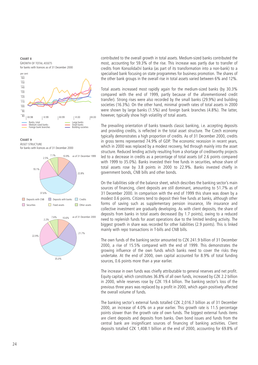#### **CHART 8**





**CHART 9** ASSET STRUCTURE for banks with licences as of 31 December 2000





contributed to the overall growth in total assets. Medium-sized banks contributed the most, accounting for 59.3% of the rise. This increase was partly due to transfer of credits from Konsolidační banka (as part of its transformation into a non-bank) to a specialised bank focusing on state programmes for business promotion. The shares of the other bank groups in the overall rise in total assets varied between 6% and 12%.

Total assets increased most rapidly again for the medium-sized banks (by 30.3% compared with the end of 1999, partly because of the aforementioned credit transfer). Strong rises were also recorded by the small banks (29.9%) and building societies (16.3%). On the other hand, minimal growth rates of total assets in 2000 were shown by large banks (1.5%) and foreign bank branches (4.8%). The latter, however, typically show high volatility of total assets.

The prevailing orientation of banks towards classic banking, i.e. accepting deposits and providing credits, is reflected in the total asset structure. The Czech economy typically demonstrates a high proportion of credits. As of 31 December 2000, credits in gross terms represented 74.9% of GDP. The economic recession in recent years, which in 2000 was replaced by a modest recovery, fed through mainly into the asset structure. Reduced lending activity resulting from a shortage of creditworthy projects led to a decrease in credits as a percentage of total assets (of 2.6 points compared with 1999 to 35.0%). Banks invested their free funds in securities, whose share of total assets rose by 3.8 points in 2000 to 22.9%. Banks invested chiefly in government bonds, CNB bills and other bonds.

On the liabilities side of the balance sheet, which describes the banking sector's main sources of financing, client deposits are still dominant, amounting to 51.7% as of 31 December 2000. In comparison with the end of 1999 this share was down by a modest 0.6 points. Citizens tend to deposit their free funds at banks, although other forms of saving such as supplementary pension insurance, life insurance and collective investment are gradually developing. As with client deposits, the share of deposits from banks in total assets decreased (by 1.7 points), owing to a reduced need to replenish funds for asset operations due to the limited lending activity. The biggest growth in share was recorded for other liabilities (2.9 points). This is linked mainly with repo transactions in T-bills and CNB bills.

The own funds of the banking sector amounted to CZK 241.9 billion of 31 December 2000, a rise of 15.5% compared with the end of 1999. This demonstrates the growing influence of the own funds which banks need to cover the risks they undertake. At the end of 2000, own capital accounted for 8.9% of total funding sources, 0.6 points more than a year earlier.

The increase in own funds was chiefly attributable to general reserves and net profit. Equity capital, which constitutes 36.8% of all own funds, increased by CZK 2.2 billion in 2000, while reserves rose by CZK 19.4 billion. The banking sector's loss of the previous three years was replaced by a profit in 2000, which again positively affected the overall volume of funds.

The banking sector's external funds totalled CZK 2,016.7 billion as of 31 December 2000, an increase of 4.0% on a year earlier. This growth rate is 11.5 percentage points slower than the growth rate of own funds. The biggest external funds items are client deposits and deposits from banks. Own bond issues and funds from the central bank are insignificant sources of financing of banking activities. Client deposits totalled CZK 1,408.1 billion at the end of 2000, accounting for 69.8% of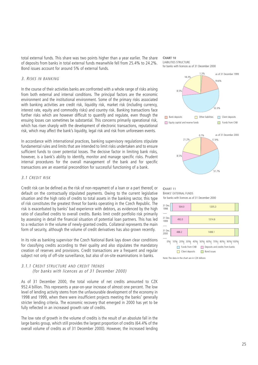total external funds. This share was two points higher than a year earlier. The share of deposits from banks in total external funds meanwhile fell from 25.4% to 24.2%. Bond issues account for around 5% of external funds.

# 3. RISKS IN BANKING

In the course of their activities banks are confronted with a whole range of risks arising from both external and internal conditions. The principal factors are the economic environment and the institutional environment. Some of the primary risks associated with banking activities are credit risk, liquidity risk, market risk (including currency, interest rate, equity and commodity risks) and country risk. Banking transactions face further risks which are however difficult to quantify and regulate, even though the ensuing losses can sometimes be substantial. This concerns primarily operational risk, which has risen sharply with the development of electronic transactions, reputational risk, which may affect the bank's liquidity, legal risk and risk from unforeseen events.

In accordance with international practices, banking supervisory regulations stipulate fundamental rules and limits that are intended to limit risks undertaken and to ensure sufficient funds to cover potential losses. The decisive factor in limiting bank risks, however, is a bank's ability to identify, monitor and manage specific risks. Prudent internal procedures for the overall management of the bank and for specific transactions are an essential precondition for successful functioning of a bank.

# 3.1 CREDIT RISK

Credit risk can be defined as the risk of non-repayment of a loan or a part thereof, or default on the contractually stipulated payments. Owing to the current legislative situation and the high ratio of credits to total assets in the banking sector, this type of risk constitutes the greatest threat for banks operating in the Czech Republic. The risk is exacerbated by banks' bad experience with debtors, as evidenced by the high ratio of classified credits to overall credits. Banks limit credit portfolio risk primarily by assessing in detail the financial situation of potential loan partners. This has led to a reduction in the volume of newly-granted credits. Collateral represents the main form of security, although the volume of credit derivatives has also grown recently.

In its role as banking supervisor the Czech National Bank lays down clear conditions for classifying credits according to their quality and also stipulates the mandatory creation of reserves and provisions. Credit transactions are a frequent and regular subject not only of off-site surveillance, but also of on-site examinations in banks.

# 3.1.1 CREDIT STRUCTURE AND CREDIT TRENDS (for banks with licences as of 31 December 2000)

As of 31 December 2000, the total volume of net credits amounted to CZK 952.4 billion. This represents a year-on-year increase of almost one percent. The low level of lending activity stems from the unfavourable development of the economy in 1998 and 1999, when there were insufficient projects meeting the banks' generally stricter lending criteria. The economic recovery that emerged in 2000 has yet to be fully reflected in an increased growth rate of credits.

The low rate of growth in the volume of credits is the result of an absolute fall in the large banks group, which still provides the largest proportion of credits (64.4% of the overall volume of credits as of 31 December 2000). However, the increased lending





51.7%

**CHART 11** BANKS' EXTERNAL FUNDS for banks with licences as of 31 December 2000



Note: The data in the chart are in CZK billions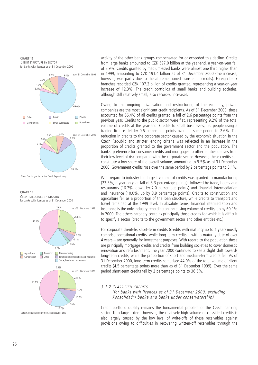



Note: Credits granted in the Czech Republic only

**CHART 13** for banks with licences as of 31 December 2000 CREDIT STRUCTURE BY INDUSTRY



activity of the other bank groups compensated for or exceeded this decline. Credits from large banks amounted to CZK 597.0 billion at the year-end, a year-on-year fall of 8.9%. Credits granted by medium-sized banks were almost one third higher than in 1999, amounting to CZK 191.4 billion as of 31 December 2000 (the increase, however, was partly due to the aforementioned transfer of credits). Foreign bank branches recorded CZK 107.2 billion of credits granted, representing a year-on-year increase of 12.3%. The credit portfolios of small banks and building societies, although still relatively small, also recorded increases.

Owing to the ongoing privatisation and restructuring of the economy, private companies are the most significant credit recipients. As of 31 December 2000, these accounted for 66.4% of all credits granted, a fall of 2.6 percentage points from the previous year. Credits to the public sector were flat, representing 9.2% of the total volume of credits at the year-end. Credits to small businesses, i.e. people using a trading licence, fell by 0.6 percentage points over the same period to 2.6%. The reduction in credits to the corporate sector caused by the economic situation in the Czech Republic and stricter lending criteria was reflected in an increase in the proportion of credits granted to the government sector and the population. The banks' preference for consumer credits and mortgages to other entities derives from their low level of risk compared with the corporate sector. However, these credits still constitute a low share of the overall volume, amounting to 9.5% as of 31 December 2000. Government credits rose over the same period by 2 percentage points to 5.1%.

With regard to industry the largest volume of credits was granted to manufacturing (23.5%, a year-on-year fall of 3.3 percentage points), followed by trade, hotels and restaurants (16.7%, down by 2.0 percentage points) and financial intermediation and insurance (10.0%, up by 3.9 percentage points). Credits to construction and agriculture fell as a proportion of the loan structure, while credits to transport and travel remained at the 1999 level. In absolute terms, financial intermediation and insurance is the only industry recording an increasing volume of credits, up by 60.1% in 2000. The others category contains principally those credits for which it is difficult to specify a sector (credits to the government sector and other entities etc.).

For corporate clientele, short-term credits (credits with maturity up to 1 year) mostly comprise operational credits, while long-term credits – with a maturity date of over 4 years – are generally for investment purposes. With regard to the population these are principally mortgage credits and credits from building societies to cover domestic renovation and refurbishment. The year 2000 continued to see a slight shift towards long-term credits, while the proportion of short and medium-term credits fell. As of 31 December 2000, long-term credits comprised 44.0% of the total volume of client credits (4.5 percentage points more than as of 31 December 1999). Over the same period short-term credits fell by 2 percentage points to 36.5%.

# 3.1.2 CLASSIFIED CREDITS

(for banks with licences as of 31 December 2000, excluding Konsolidační banka and banks under conservatorship)

Credit portfolio quality remains the fundamental problem of the Czech banking sector. To a large extent, however, the relatively high volume of classified credits is also largely caused by the low level of write-offs of these receivables against provisions owing to difficulties in recovering written-off receivables through the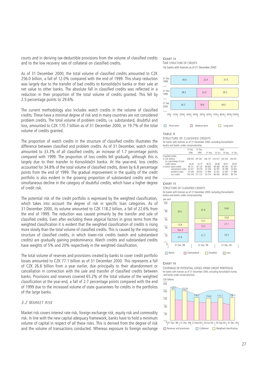courts and in deriving tax-deductible provisions from the volume of classified credits and to the low recovery rate of collateral on classified credits.

As of 31 December 2000, the total volume of classified credits amounted to CZK 256.0 billion, a fall of 12.0% compared with the end of 1999. This sharp reduction was largely due to the transfer of bad credits to Konsolidační banka or their sale at net value to other banks. The absolute fall in classified credits was reflected in a reduction in their proportion of the total volume of credits granted. This fell by 2.5 percentage points to 29.6%.

The current methodology also includes watch credits in the volume of classified credits. These have a minimal degree of risk and in many countries are not considered problem credits. The total volume of problem credits, i.e. substandard, doubtful and loss, amounted to CZK 170.7 billion as of 31 December 2000, or 19.7% of the total volume of credits granted.

The proportion of watch credits in the structure of classified credits illustrates the difference between classified and problem credits. As of 31 December, watch credits amounted to 33.3% of all classified credits, an increase of 1.7 percentage points compared with 1999. The proportion of loss credits fell gradually, although this is largely due to their transfer to Konsolidační banka. At the year-end, loss credits accounted for 34.8% of the total volume of classified credits, down by 6.8 percentage points from the end of 1999. The gradual improvement in the quality of the credit portfolio is also evident in the growing proportion of substandard credits and the simultaneous decline in the category of doubtful credits, which have a higher degree of credit risk.

The potential risk of the credit portfolio is expressed by the weighted classification, which takes into account the degree of risk in specific loan categories. As of 31 December 2000, its volume amounted to CZK 118.2 billion, a fall of 22.6% from the end of 1999. The reduction was caused primarily by the transfer and sale of classified credits. Even after excluding these atypical factors in gross terms from the weighted classification it is evident that the weighted classification of credits is rising more slowly than the total volume of classified credits. This is caused by the improving structure of classified credits, in which lower-risk credits (watch and substandard credits) are gradually gaining predominance. Watch credits and substandard credits have weights of 5% and 20% respectively in the weighted classification.

The total volume of reserves and provisions created by banks to cover credit portfolio losses amounted to CZK 77.1 billion as of 31 December 2000. This represents a fall of CZK 26.6 billion from a year earlier, due principally to their abandonment or cancellation in connection with the sale and transfer of classified credits between banks. Provisions and reserves covered 65.2% of the total volume of the weighted classification at the year-end, a fall of 2.7 percentage points compared with the end of 1999 due to the increased volume of state guarantees for credits in the portfolios of the large banks.

# 3.2 MARKET RISK

Market risk covers interest rate risk, foreign exchange risk, equity risk and commodity risk. In line with the new capital adequacy framework, banks have to hold a minimum volume of capital in respect of all these risks. This is derived from the degree of risk and the volume of transactions conducted. Whereas exposure to foreign exchange

#### **CHART 14** TIME STRUCTURE OF CREDITS for banks with licences as of 31 December 2000



0% 10% 20% 30% 40% 50% 60% 70% 80% 90% 100%

| Short-term | Medium-term | Long-term |
|------------|-------------|-----------|

#### **TABLE 4**

#### STRUCTURE OF CLASSIFIED CREDITS

for banks with licences as of 31 December 2000, excluding Konsolidační banka and banks under conservatorship

|                          | 31 Dec. | 31 Dec. |                                         | 2000    |          |                 |
|--------------------------|---------|---------|-----------------------------------------|---------|----------|-----------------|
|                          | 1998    | 1999    | 31 Mar.                                 | 30 Jun. |          | 30 Sep. 31 Dec. |
| Classified credits,      |         |         |                                         |         |          |                 |
| in C7K millions          | 258 004 |         | 291 061 246 147 243 927 243 302 256 047 |         |          |                 |
| as a percentage of total |         |         |                                         |         |          |                 |
| credit volume            | 26.45   | 32.15   | 28.55                                   | 28.48   | 28.07    | 29.63           |
| of which: watch credits  | 58 7 21 | 92 124  | 89 683                                  | 88 368  | 84 7 9 2 | 85 341          |
| substandard credits      | 33 427  | 39 379  | 32 556                                  | 36 787  | 36 788   | 54 064          |
| doubtful credits         | 35 538  | 38 433  | 31 894                                  | 32 367  | 33 387   | 27 488          |
| loss credits             | 130 318 | 121 125 | 92 014                                  | 86 406  | 88 835   | 89 154          |
|                          |         |         |                                         |         |          |                 |

#### **CHART 15**

STRUCTURE OF CLASSIFIED CREDITS

for banks with licences as of 31 December 2000, excluding Konsolidační banka and banks under conservatorship



#### **CHART 16**

COVERAGE OF POTENTIAL LOSSES FROM CREDIT PORTFOLIO for banks with licences as of 31 December 2000, excluding Konsolidační banka and banks under conservatorship

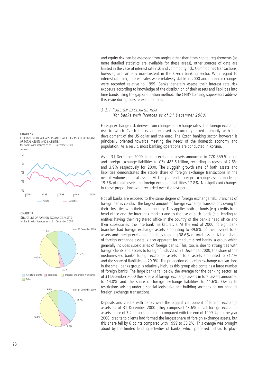and equity risk can be assessed from angles other than from capital requirements (as more detailed statistics are available for these areas), other sources of data are limited in the case of interest rate risk and commodity risk. Commodities transactions, however, are virtually non-existent in the Czech banking sector. With regard to interest rate risk, interest rates were relatively stable in 2000 and no major changes were recorded relative to 1999. Banks generally assess their interest rate risk exposure according to knowledge of the distribution of their assets and liabilities into time bands using the gap or duration method. The CNB's banking supervisors address this issue during on-site examinations.

# 3.2.1 FOREIGN EXCHANGE RISK

(for banks with licences as of 31 December 2000)

Foreign exchange risk derives from changes in exchange rates. The foreign exchange risk to which Czech banks are exposed is currently linked primarily with the development of the US dollar and the euro. The Czech banking sector, however, is principally oriented towards meeting the needs of the domestic economy and population. As a result, most banking operations are conducted in koruna.

As of 31 December 2000, foreign exchange assets amounted to CZK 559.5 billion and foreign exchange liabilities to CZK 483.6 billion, recording increases of 2.6% and 3.9% respectively for 2000. The sluggish growth rate of both assets and liabilities demonstrates the stable share of foreign exchange transactions in the overall volume of total assets. At the year-end, foreign exchange assets made up 19.3% of total assets and foreign exchange liabilities 17.8%. No significant changes in these proportions were recorded over the last period.

Not all banks are exposed to the same degree of foreign exchange risk. Branches of foreign banks conduct the largest amount of foreign exchange transactions owing to their close ties with their home country. This applies both to funds (e.g. credits from head office and the interbank market) and to the use of such funds (e.g. lending to entities having their registered office in the country of the bank's head office and their subsidiaries, the interbank market, etc.). At the end of 2000, foreign bank branches had foreign exchange assets amounting to 39.8% of their overall total assets and foreign exchange liabilities totalling 38.6% of total assets. A high share of foreign exchange assets is also apparent for medium-sized banks, a group which generally includes subsidiaries of foreign banks. This, too, is due to strong ties with foreign clients and access to foreign funds. As of 31 December 2000, the share of the medium-sized banks' foreign exchange assets in total assets amounted to 31.1% and the share of liabilities to 29.9%. The proportion of foreign exchange transactions in the small banks group is relatively high, as this group also contains a large number of foreign banks. The large banks fall below the average for the banking sector: as of 31 December 2000 their share of foreign exchange assets in total assets amounted to 14.0% and the share of foreign exchange liabilities to 11.6%. Owing to restrictions arising under a special legislative act, building societies do not conduct foreign exchange transactions.

Deposits and credits with banks were the biggest component of foreign exchange assets as of 31 December 2000. They comprised 43.6% of all foreign exchange assets, a rise of 3.2 percentage points compared with the end of 1999. Up to the year 2000, credits to clients had formed the largest share of foreign exchange assets, but this share fell by 6 points compared with 1999 to 38.2%. This change was brought about by the limited lending activities of banks, which preferred instead to place

#### **CHART 17**

FOREIGN EXCHANGE ASSETS AND LIABILITIES AS A PERCENTAGE OF TOTAL ASSETS AND LIABILITIES for banks with licences as of 31 December 2000



**CHART 18**

STRUCTURE OF FORFIGN EXCHANGE ASSETS for banks with licences as of 31 December 2000



**Credits to clients** Securities Deposits and credits with banks  $\Box$  Other

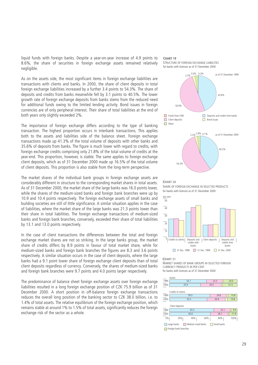liquid funds with foreign banks. Despite a year-on-year increase of 4.9 points to 8.6%, the share of securities in foreign exchange assets remained relatively negligible.

As on the assets side, the most significant items in foreign exchange liabilities are transactions with clients and banks. In 2000, the share of client deposits in total foreign exchange liabilities increased by a further 3.4 points to 54.3%. The share of deposits and credits from banks meanwhile fell by 3.1 points to 40.5%. The lower growth rate of foreign exchange deposits from banks stems from the reduced need for additional funds owing to the limited lending activity. Bond issues in foreign currencies are of only peripheral interest. Their share of total liabilities at the end of both years only slightly exceeded 2%.

The importance of foreign exchange differs according to the type of banking transaction. The highest proportion occurs in interbank transactions. This applies both to the assets and liabilities side of the balance sheet. Foreign exchange transactions made up 41.3% of the total volume of deposits with other banks and 35.6% of deposits from banks. The figure is much lower with regard to credits, with foreign exchange credits comprising only 21.8% of the total volume of credits at the year-end. This proportion, however, is stable. The same applies to foreign exchange client deposits, which as of 31 December 2000 made up 16.5% of the total volume of client deposits. This proportion is also stable from the long-term perspective.

The market shares of the individual bank groups in foreign exchange assets are considerably different in structure to the corresponding market shares in total assets. As of 31 December 2000, the market share of the large banks was 16.0 points lower, while the shares of the medium-sized banks and foreign bank branches were up by 10.9 and 10.4 points respectively. The foreign exchange assets of small banks and building societies are still of little significance. A similar situation applies in the case of liabilities, where the market share of the large banks was 21.3 points lower than their share in total liabilities. The foreign exchange transactions of medium-sized banks and foreign bank branches, conversely, exceeded their share of total liabilities by 13.1 and 13.0 points respectively.

In the case of client transactions the differences between the total and foreign exchange market shares are not so striking. In the large banks group, the market share of credits differs by 8.9 points in favour of total market share, while for medium-sized banks and foreign bank branches the figures are 8.3 and 3.6 points respectively. A similar situation occurs in the case of client deposits, where the large banks had a 9.1 point lower share of foreign exchange client deposits than of total client deposits regardless of currency. Conversely, the shares of medium-sized banks and foreign bank branches were 9.7 points and 4.0 points larger respectively.

The predominance of balance sheet foreign exchange assets over foreign exchange liabilities resulted in a long foreign exchange position of CZK 75.9 billion as of 31 December 2000. A short position in off-balance foreign exchange transactions reduces the overall long position of the banking sector to CZK 38.0 billion, i.e. to 1.4% of total assets. The relative equilibrium of the foreign exchange position, which remains stable at around 1% to 1.5% of total assets, significantly reduces the foreign exchange risk of the sector as a whole.

#### **CHART 19**





#### **CHART 20**

SHARE OF FOREIGN EXCHANGE IN SELECTED PRODUCTS for banks with licences as of 31 December 2000



#### **CHART 21**

MARKET SHARES OF BANK GROUPS IN SELECTED FOREIGN CURRENCY PRODUCTS IN PER CENT for banks with licences as of 31 December 2000

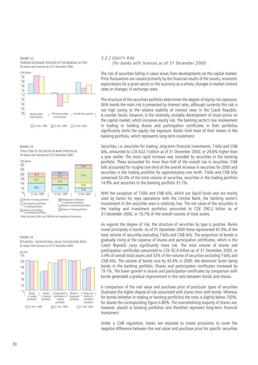**CHART 22** FOREIGN EXCHANGE POSITION OF THE BANKING SECTOR for banks with licences as of 31 December 2000



**CHART 23** STRUCTURE OF SECURITIES IN BANK PORTFOLIOS for banks with licences as of 31 December 2000



Note: Excluding T-bills and CNB bills and regardless of provisions

**CHART 24** SECURITIES - RATIO OF REAL VALUE TO PURCHASE PRICE for banks with licences as of 31 December 2000



# 3.2.2 EQUITY RISK (for banks with licences as of 31 December 2000)

The risk of securities falling in value arises from developments on the capital market. Price fluctuations are caused primarily by the financial results of the issuers, economic expectations for a given sector or the economy as a whole, changes in market interest rates or changes in exchange rates.

The structure of the securities portfolio determines the degree of equity risk exposure. With bonds the main risk is presented by interest rates, although currently this risk is not high owing to the relative stability of interest rates in the Czech Republic. A counter factor, however, is the relatively unstable development of share prices on the capital market, which increases equity risk. The banking sector's low involvement in trading or holding shares and participation certificates in their portfolios significantly limits the equity risk exposure. Banks hold most of their shares in the banking portfolio, which represents long-term investment.

Securities, i.e. securities for trading, long-term financial investments, T-bills and CNB bills, amounted to CZK 622.1 billion as of 31 December 2000, or 29.6% higher than a year earlier. The most rapid increase was recorded by securities in the banking portfolio. These accounted for more than half of the overall rise in securities. CNB bills accounted for roughly one third of the overall increase in securities for 2000 and securities in the trading portfolio for approximately one tenth. T-bills and CNB bills comprised 53.4% of the total volume of securities, securities in the trading portfolio 14.9% and securities in the banking portfolio 31.7%.

With the exception of T-bills and CNB bills, which are liquid funds and are mainly used by banks for repo operations with the Central Bank, the banking sector's involvement in the securities area is relatively low. The net value of the securities in the trading and investment portfolios amounted to CZK 290.2 billion as of 31 December 2000, or 10.7% of the overall volume of total assets.

As regards the degree of risk, the structure of securities by type is positive. Banks invest principally in bonds. As of 31 December 2000 these represented 67.9% of the total volume of securities excluding T-bills and CNB bills. The proportion of bonds is gradually rising at the expense of shares and participation certificates, which in the Czech Republic carry significantly more risk. The total volume of shares and participation certificates amounted to CZK 92.9 billion as of 31 December 2000, or 3.4% of overall total assets and 32% of the volume of securities excluding T-bills and CNB bills. The volume of bonds rose by 43.4% in 2000, the dominant factor being bonds in the banking portfolio. Shares and participation certificates increased by 19.1%. The lower growth in shares and participation certificates by comparison with bonds generated a gradual improvement in the ratio between bonds and shares.

A comparison of the real value and purchase price of particular types of securities illustrates the higher degree of risk associated with shares than with bonds. Whereas for bonds (whether in trading or banking portfolios) the ratio is slightly below 100%, for shares the corresponding figure is 80%. The overwhelming majority of shares are, however, placed in banking portfolios and therefore represent long-term financial investment.

Under a CNB regulation, banks are required to create provisions to cover the negative difference between the real value and purchase price for specific securities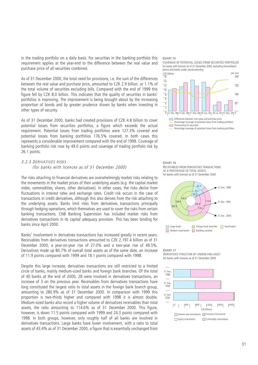in the trading portfolio on a daily basis. For securities in the banking portfolio this requirement applies at the year-end to the difference between the real value and purchase price of all securities combined.

As of 31 December 2000, the total need for provisions, i.e. the sum of the differences between the real value and purchase price, amounted to CZK 2.9 billion, or 1.1% of the total volume of securities excluding bills. Compared with the end of 1999 this figure fell by CZK 8.0 billion. This indicates that the quality of securities in banks' portfolios is improving. The improvement is being brought about by the increasing proportion of bonds and by greater prudence shown by banks when investing in other types of security.

As of 31 December 2000, banks had created provisions of CZK 4.8 billion to cover potential losses from securities portfolios, a figure which exceeds the actual requirement. Potential losses from trading portfolios were 127.3% covered and potential losses from banking portfolios 176.5% covered. In both cases this represents a considerable improvement compared with the end of 1999. Coverage of banking portfolio risk rose by 49.0 points and coverage of trading portfolio risk by 26.1 points.

# 3.2.3 DERIVATIVES RISKS (for banks with licences as of 31 December 2000)

The risks attaching to financial derivatives are overwhelmingly market risks relating to the movements in the market prices of their underlying assets (e.g. the capital market index, commodities, shares, other derivatives). In other cases, the risks derive from fluctuations in interest rates and exchange rates. Credit risk occurs in the case of transactions in credit derivatives, although this also derives from the risk attaching to the underlying assets. Banks limit risks from derivatives transactions principally through hedging operations, which themselves are used to cover the risks from certain banking transactions. CNB Banking Supervision has included market risks from derivatives transactions in its capital adequacy provision. This has been binding for banks since April 2000.

Banks' involvement in derivatives transactions has increased greatly in recent years. Receivables from derivatives transactions amounted to CZK 2,197.4 billion as of 31 December 2000, a year-on-year rise of 27.0% and a two-year rise of 49.5%. Derivatives made up 80.7% of overall total assets as of the same date, an increase of 11.9 points compared with 1999 and 18.1 points compared with 1998.

Despite this large increase, derivatives transactions are still restricted to a limited circle of banks, mainly medium-sized banks and foreign bank branches. Of the total of 40 banks at the end of 2000, 28 were involved in derivatives transactions, an increase of 3 on the previous year. Receivables from derivatives transactions have long constituted the largest ratio to total assets in the foreign bank branch group, amounting to 280.9% as of 31 December 2000. In comparison with 1999 this proportion is two-thirds higher and compared with 1998 it is almost double. Medium-sized banks also record a higher volume of derivatives receivables than total assets, the ratio amounting to 114.6% as of 31 December 2000. This figure, however, is down 11.5 points compared with 1999 and 24.3 points compared with 1998. In both groups, however, only roughly half of all banks are involved in derivatives transactions. Large banks have lower involvement, with a ratio to total assets of 43.4% as of 31 December 2000, a figure that is essentially unchanged from

#### **CHART 25**









# **CHART 27**

#### DERIVATIVES STRUCTURE BY UNDERLYING ASSET for banks with licences as of 31 December 2000

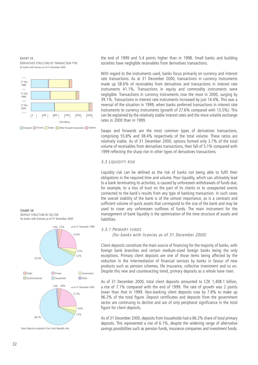**CHART 28** DERIVATIVES STRUCTURE BY TRANSACTION TYPE for banks with licences as of 31 December 2000



Forwards Futures Swaps Other forward transactions Options

**CHART 29** for banks with licences as of 31 December 2000 DEPOSIT STRUCTURE BY SECTOR



the end of 1999 and 5.4 points higher than in 1998. Small banks and building societies have negligible receivables from derivatives transactions.

With regard to the instruments used, banks focus primarily on currency and interest rate transactions. As at 31 December 2000, transactions in currency instruments made up 58.6% of receivables from derivatives and transactions in interest rate instruments 41.1%. Transactions in equity and commodity instruments were negligible. Transactions in currency instruments rose the most in 2000, surging by 39.1%. Transactions in interest rate instruments increased by just 14.4%. This was a reversal of the situation in 1999, when banks preferred transactions in interest rate instruments to currency instruments (growth of 27.6% compared with 13.5%). This can be explained by the relatively stable interest rates and the more volatile exchange rates in 2000 than in 1999.

Swaps and forwards are the most common types of derivatives transactions, comprising 55.8% and 38.4% respectively of the total volume. These ratios are relatively stable. As of 31 December 2000, options formed only 3.7% of the total volume of receivables from derivatives transactions, their fall of 5.1% compared with 1999 reflecting the sharp rise in other types of derivatives transactions.

# 3.3 LIQUIDITY RISK

Liquidity risk can be defined as the risk of banks not being able to fulfil their obligations in the required time and volume. Poor liquidity, which can ultimately lead to a bank terminating its activities, is caused by unforeseen withdrawals of funds due, for example, to a loss of trust on the part of its clients or to unexpected events connected to the bank's results from any type of banking transaction. In such cases the overall stability of the bank is of the utmost importance, as is a constant and sufficient volume of quick assets that correspond to the size of the bank and may be used to cover any unforeseen outflows of funds. The main instrument for the management of bank liquidity is the optimisation of the time structure of assets and liabilities.

#### 3.3.1 PRIMARY FUNDS

(for banks with licences as of 31 December 2000)

Client deposits constitute the main source of financing for the majority of banks, with foreign bank branches and certain medium-sized foreign banks being the only exceptions. Primary client deposits are one of those items being affected by the reduction in the intermediation of financial services by banks in favour of new products such as pension schemes, life insurance, collective investment and so on. Despite this new and counteracting trend, primary deposits as a whole have risen.

As of 31 December 2000, total client deposits amounted to CZK 1,408.1 billion, a rise of 7.1% compared with the end of 1999. The rate of growth was 2 points lower than that in 1999. Non-banking client deposits rose by 7.8% to make up 96.2% of the total figure. Deposit certificates and deposits from the government sector are continuing to decline and are of only peripheral significance in the total figure for client deposits.

As of 31 December 2000, deposits from households had a 66.2% share of total primary deposits. This represented a rise of 6.1%, despite the widening range of alternative savings possibilities such as pension funds, insurance companies and investment funds.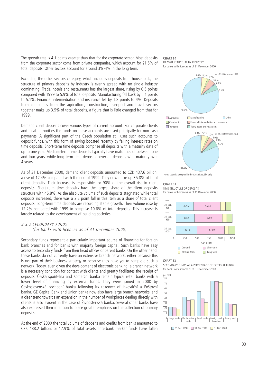The growth rate is 4.1 points greater than that for the corporate sector. Most deposits from the corporate sector come from private companies, which account for 21.5% of total deposits. Other sectors account for around 3%-4% in the long term.

Excluding the other sectors category, which includes deposits from households, the structure of primary deposits by industry is evenly spread with no single industry dominating. Trade, hotels and restaurants has the largest share, rising by 0.5 points compared with 1999 to 5.9% of total deposits. Manufacturing fell back by 0.1 points to 5.1%. Financial intermediation and insurance fell by 1.8 points to 4%. Deposits from companies from the agriculture, construction, transport and travel sectors together make up 3.5% of total deposits, a figure that is little changed from that for 1999.

Demand client deposits cover various types of current account. For corporate clients and local authorities the funds on these accounts are used principally for non-cash payments. A significant part of the Czech population still uses such accounts to deposit funds, with this form of saving boosted recently by falling interest rates on time deposits. Short-term time deposits comprise all deposits with a maturity date of up to one year. Medium-term time deposits typically have maturities of between one and four years, while long-term time deposits cover all deposits with maturity over 4 years.

As of 31 December 2000, demand client deposits amounted to CZK 437.6 billion, a rise of 12.4% compared with the end of 1999. They now make up 35.8% of total client deposits. Their increase is responsible for 90% of the overall rise in client deposits. Short-term time deposits have the largest share of the client deposits structure with 46.8%. As the absolute volume of such deposits stagnated while total deposits increased, there was a 2.2 point fall in this item as a share of total client deposits. Long-term time deposits are recording stable growth. Their volume rose by 12.2% compared with 1999 to comprise 10.6% of total deposits. This increase is largely related to the development of building societies.

# 3.3.2 SECONDARY FUNDS

(for banks with licences as of 31 December 2000)

Secondary funds represent a particularly important source of financing for foreign bank branches and for banks with majority foreign capital. Such banks have easy access to secondary funds from their head offices or parent banks. On the other hand, these banks do not currently have an extensive branch network, either because this is not part of their business strategy or because they have yet to complete such a network. Today, even given the development of electronic banking, a branch network is a necessary condition for contact with clients and greatly facilitates the receipt of deposits. Česká spořitelna and Komerční banka remain typical retail banks with a lower level of financing by external funds. They were joined in 2000 by Československá obchodní banka following its takeover of Investiční a Poštovní banka. GE Capital Bank and Union banka now also have large branch networks, and a clear trend towards an expansion in the number of workplaces dealing directly with clients is also evident in the case of Živnostenská banka. Several other banks have also expressed their intention to place greater emphasis on the collection of primary deposits.

At the end of 2000 the total volume of deposits and credits from banks amounted to CZK 488.2 billion, or 17.9% of total assets. Interbank market funds have fallen

#### **CHART 30**





Note: Deposits accepted in the Czech Republic only

**CHART 31**

TIME STRUCTURE OF DEPOSITS for banks with licences as of 31 December 2000





SECONDARY FUNDS AS A PERCENTAGE OF EXTERNAL FUNDS for banks with licences as of 31 December 2000

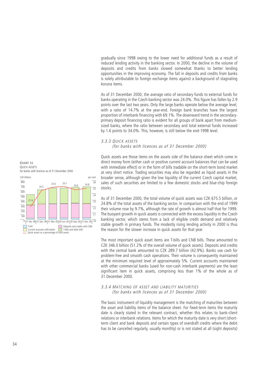gradually since 1998 owing to the lower need for additional funds as a result of reduced lending activity in the banking sector. In 2000, the decline in the volume of deposits and credits from banks slowed somewhat thanks to better lending opportunities in the improving economy. The fall in deposits and credits from banks is solely attributable to foreign exchange items against a background of stagnating koruna items.

As of 31 December 2000, the average ratio of secondary funds to external funds for banks operating in the Czech banking sector was 24.0%. This figure has fallen by 2.9 points over the last two years. Only the large banks operate below the average level, with a ratio of 14.7% at the year-end. Foreign bank branches have the largest proportion of interbank financing with 69.1%. The downward trend in the secondaryprimary deposit financing ratio is evident for all groups of bank apart from mediumsized banks, where the ratio between secondary and total external funds increased by 1.6 points to 34.0%. This, however, is still below the end-1998 level.

# 3.3.3 QUICK ASSETS

(for banks with licences as of 31 December 2000)

Quick assets are those items on the assets side of the balance sheet which come in direct money form (either cash or positive current account balances that can be used with immediate effect) or in the form of bills tradable on the short-term bond market at very short notice. Trading securities may also be regarded as liquid assets in the broader sense, although given the low liquidity of the current Czech capital market, sales of such securities are limited to a few domestic stocks and blue-chip foreign stocks.

As of 31 December 2000, the total volume of quick assets was CZK 675.5 billion, or 24.8% of the total assets of the banking sector. In comparison with the end of 1999 their volume rose by 9.7%, although the rate of growth is almost half that for 1999. The buoyant growth in quick assets is connected with the excess liquidity in the Czech banking sector, which stems from a lack of eligible credit demand and relatively stable growth in primary funds. The modestly rising lending activity in 2000 is thus the reason for the slower increase in quick assets for that year.

The most important quick asset items are T-bills and CNB bills. These amounted to CZK 346.0 billion (51.2% of the overall volume of quick assets). Deposits and credits with the central bank amounted to CZK 289.7 billion (42.9%). Banks use cash for problem-free and smooth cash operations. Their volume is consequently maintained at the minimum required level of approximately 5%. Current accounts maintained with other commercial banks (used for non-cash interbank payments) are the least significant item in quick assets, comprising less than 1% of the whole as of 31 December 2000.

# 3.3.4 MATCHING OF ASSET AND LIABILITY MATURITIES (for banks with licences as of 31 December 2000)

The basic instrument of liquidity management is the matching of maturities between the asset and liability items of the balance sheet. For fixed-term items the maturity date is clearly stated in the relevant contract, whether this relates to bank-client relations or interbank relations. Items for which the maturity date is very short (shortterm client and bank deposits and certain types of overdraft credits where the debit has to be cancelled regularly, usually monthly) or is not stated at all (sight deposits)

**CHART 33** QUICK ASSETS for banks with licences as of 31 December 2000 CZK billions

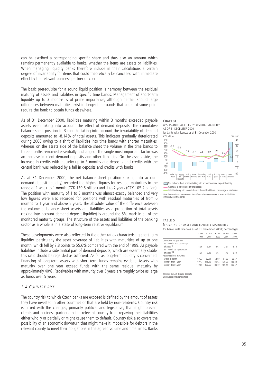can be ascribed a corresponding specific share and thus also an amount which remains permanently available to banks, whether the items are assets or liabilities. When managing liquidity banks therefore include in their calculations a certain degree of invariability for items that could theoretically be cancelled with immediate effect by the relevant business partner or client.

The basic prerequisite for a sound liquid position is harmony between the residual maturity of assets and liabilities in specific time bands. Management of short-term liquidity up to 3 months is of prime importance, although neither should large differences between maturities exist in longer time bands that could at some point require the bank to obtain funds elsewhere.

As of 31 December 2000, liabilities maturing within 3 months exceeded payable assets even taking into account the effect of demand deposits. The cumulative balance sheet position to 3 months taking into account the invariability of demand deposits amounted to -8.14% of total assets. This indicator gradually deteriorated during 2000 owing to a shift of liabilities into time bands with shorter maturities, whereas on the assets side of the balance sheet the volume in the time bands to three months remained essentially unchanged. The single most important factor was an increase in client demand deposits and other liabilities. On the assets side, the increase in credits with maturity up to 3 months and deposits and credits with the central bank was reduced by a fall in deposits and credits with banks.

As at 31 December 2000, the net balance sheet position (taking into account demand deposit liquidity) recorded the highest figures for residual maturities in the range of 1 week to 1 month (CZK 139.5 billion) and 1 to 2 years (CZK 105.2 billion). The position with maturity of 1 to 3 months was almost exactly balanced and very low figures were also recorded for positions with residual maturities of from 6 months to 1 year and above 5 years. The absolute value of the difference between the volume of balance sheet assets and liabilities as a proportion of total assets (taking into account demand deposit liquidity) is around the 5% mark in all of the monitored maturity groups. The structure of the assets and liabilities of the banking sector as a whole is in a state of long-term relative equilibrium.

These developments were also reflected in the other ratios characterising short-term liquidity, particularly the asset coverage of liabilities with maturities of up to one month, which fell by 7.8 points to 55.6% compared with the end of 1999. As payable liabilities include a substantial part of demand deposits, which are essentially stable, this ratio should be regarded as sufficient. As far as long-term liquidity is concerned, financing of long-term assets with short-term funds remains evident. Assets with maturity over one year exceed funds with the same residual maturity by approximately 40%. Receivables with maturity over 5 years are roughly twice as large as funds over 5 years.

# 3.4 COUNTRY RISK

The country risk to which Czech banks are exposed is defined by the amount of assets they have invested in other countries or that are held by non-residents. Country risk is linked with the changes, primarily political and legislative, that might prevent clients and business partners in the relevant country from repaying their liabilities either wholly or partially or might cause them to default. Country risk also covers the possibility of an economic downturn that might make it impossible for debtors in the relevant county to meet their obligations in the agreed volume and time limits. Banks

#### **CHART 34** ASSETS AND LIABILITIES BY RESIDUAL MATURITY AS OF 31 DECEMBER 2000 for banks with licences as of 31 December 2000<br>CZK billions  $-3.1 - 5.0$  $0.1$  -2.3 0.6 -3.9  $1.9$  0.5 11.3  $-150$  $-\frac{50}{100}$  $\frac{100}{50}$ 150  $rac{200}{200}$  $\overline{250}$ 300 350 under 1 | 1<br>week week  $\begin{vmatrix} 1 & \text{to} & 3 \\ \text{month} & \text{month} \end{vmatrix}$ 1 month 1 to 3 | 3 to 6 | 6 months<br>months | months | to 1 year months 6 months| 1 to 2<br>to 1 year| years 1 to 2 | 2 to 5<br>years | years 2 to 5 | over<br>years | 5 year over non-<br>5 years specifi specified  $\frac{1}{20}$  $-10$  $\overline{0}$ 10  $\overline{20}$ 30  $\overline{40}$ Net balance sheet position taking into account demand deposit liquidity Assets as a percentage of total assets CZK billions per cent

Liabilities taking into account demand deposit liquidity as a percentage of total assets Note: The data in the chart represent the difference between the share of assets and liabilities in the individual time bands

#### **TABLE 5**  MATCHING OF ASSET AND LIABILITY MATURITIES for banks with licences as of 31 December 2000; percentages

| 30 Sep.<br>31 Dec.<br>31 Mar.<br>30 Jun.<br>31 Dec.<br>2000<br>2000<br>2000<br>1999<br>2000<br>Cumulative net position:<br>to 3 months as a percentage<br>of assets <sup>1)</sup><br>$-4.36$<br>$-3.37$<br>$-4.67$<br>$-2.61$<br>$-8.14$<br>to 1 month as a percentage<br>of assets <sup>1</sup> ),2)<br>$-435$<br>$-3.26$<br>$-5.67$<br>$-5.40$<br>$-1.43$<br>Assets/liabilities maturing:<br>within 1 month<br>62.91<br>55.57<br>58.90<br>61.39<br>60.33<br>138.07<br>138.82<br>109.47<br>130.02<br>in more than 1 year<br>115.95<br>180.59<br>183.47<br>in more than 5 years<br>159.05<br>180.65<br>185.44 |  |  |  |
|---------------------------------------------------------------------------------------------------------------------------------------------------------------------------------------------------------------------------------------------------------------------------------------------------------------------------------------------------------------------------------------------------------------------------------------------------------------------------------------------------------------------------------------------------------------------------------------------------------------|--|--|--|
|                                                                                                                                                                                                                                                                                                                                                                                                                                                                                                                                                                                                               |  |  |  |
|                                                                                                                                                                                                                                                                                                                                                                                                                                                                                                                                                                                                               |  |  |  |
|                                                                                                                                                                                                                                                                                                                                                                                                                                                                                                                                                                                                               |  |  |  |
|                                                                                                                                                                                                                                                                                                                                                                                                                                                                                                                                                                                                               |  |  |  |
|                                                                                                                                                                                                                                                                                                                                                                                                                                                                                                                                                                                                               |  |  |  |
|                                                                                                                                                                                                                                                                                                                                                                                                                                                                                                                                                                                                               |  |  |  |
|                                                                                                                                                                                                                                                                                                                                                                                                                                                                                                                                                                                                               |  |  |  |

1) minus 80% of demand deposits

2) including off balance sheet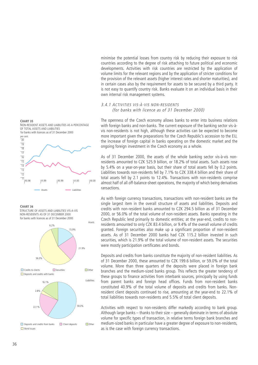minimise the potential losses from country risk by reducing their exposure to risk countries according to the degree of risk attaching to future political and economic developments. Activities with risk countries are restricted by the application of volume limits for the relevant regions and by the application of stricter conditions for the provision of the relevant assets (higher interest rates and shorter maturities), and in certain cases also by the requirement for assets to be secured by a third party. It is not easy to quantify country risk. Banks evaluate it on an individual basis in their own internal risk management systems.

# 3.4.1 ACTIVITIES VIS-À-VIS NON-RESIDENTS (for banks with licence as of 31 December 2000)

The openness of the Czech economy allows banks to enter into business relations with foreign banks and non-banks. The current exposure of the banking sector vis-àvis non-residents is not high, although these activities can be expected to become more important given the preparations for the Czech Republic's accession to the EU, the increase of foreign capital in banks operating on the domestic market and the ongoing foreign investment in the Czech economy as a whole.

As of 31 December 2000, the assets of the whole banking sector vis-à-vis nonresidents amounted to CZK 525.9 billion, or 18.2% of total assets. Such assets rose by 5.4% on a year-on-year basis, but their share of total assets fell by 0.2 points. Liabilities towards non-residents fell by 7.1% to CZK 338.4 billion and their share of total assets fell by 2.1 points to 12.4%. Transactions with non-residents comprise almost half of all off-balance-sheet operations, the majority of which being derivatives ransactions.

As with foreign currency transactions, transactions with non-resident banks are the single largest item in the overall structure of assets and liabilities. Deposits and credits with non-resident banks amounted to CZK 294.5 billion as of 31 December 2000, or 56.0% of the total volume of non-resident assets. Banks operating in the Czech Republic lend primarily to domestic entities; at the year-end, credits to nonresidents amounted to only CZK 83.4 billion, or 9.4% of the overall volume of credits granted. Foreign securities also make up a significant proportion of non-resident assets. As of 31 December 2000 banks had CZK 115.2 billion invested in such securities, which is 21.9% of the total volume of non-resident assets. The securities were mostly participation certificates and bonds.

Deposits and credits from banks constitute the majority of non-resident liabilities. As of 31 December 2000, these amounted to CZK 199.6 billion, or 59.0% of the total volume. More than three quarters of the deposits were placed in foreign bank branches and the medium-sized banks group. This reflects the greater tendency of these groups to finance activities from interbank sources, principally by using funds from parent banks and foreign head offices. Funds from non-resident banks constituted 40.9% of the total volume of deposits and credits from banks. Nonresident client deposits continued to rise, amounting at the year-end to 22.1% of total liabilities towards non-residents and 5.5% of total client deposits.

Activities with respect to non-residents differ markedly according to bank group. Although large banks – thanks to their size – generally dominate in terms of absolute volume for specific types of transaction, in relative terms foreign bank branches and medium-sized banks in particular have a greater degree of exposure to non-residents, as is the case with foreign currency transactions.

# **CHART 35**



**CHART 36**

for banks with licences as of 31 December 2000 STRUCTURE OF ASSETS AND LIABILITIES VIS-A-VIS NON-RESIDENTS AS OF 31 DECEMBER 2000

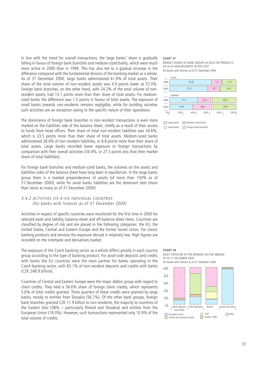In line with the trend for overall transactions, the large banks' share is gradually falling in favour of foreign bank branches and medium-sized banks, which were much more active in 2000 than in 1999. This has also led to a gradual increase in the difference compared with the fundamental division of the banking market as a whole. As of 31 December 2000, large banks administered 61.9% of total assets. Their share of the total volume of non-resident assets was 4.9 points lower at 57.0%. Foreign bank branches, on the other hand, with 24.2% of the total volume of nonresident assets, had 13.1 points more than their share of total assets. For mediumsized banks the difference was 1.5 points in favour of total assets. The exposure of small banks towards non-residents remains negligible, while for building societies such activities are an exception owing to the specific nature of their operations.

The dominance of foreign bank branches in non-resident transactions is even more marked on the liabilities side of the balance sheet, chiefly as a result of their access to funds from head offices. Their share of total non-resident liabilities was 34.6%, which is 23.5 points more than their share of total assets. Medium-sized banks administered 28.4% of non-resident liabilities, or 8.8 points more than their share of total assets. Large banks recorded lower exposure to foreign transactions by comparison with their overall activities (34.4%, or 27.5 points less than their market share of total liabilities).

For foreign bank branches and medium-sized banks, the volumes on the assets and liabilities sides of the balance sheet have long been in equilibrium. In the large banks group there is a marked preponderance of assets (of more than 150% as of 31 December 2000), while for small banks liabilities are the dominant item (more than twice as many as of 31 December 2000).

# 3.4.2 ACTIVITIES VIS-À-VIS INDIVIDUAL COUNTRIES (for banks with licences as of 31 December 2000)

Activities in respect of specific countries were monitored for the first time in 2000 for selected asset and liability, balance-sheet and off-balance-sheet items. Countries are classified by degree of risk and are placed in the following categories: the EU, the United States, Central and Eastern Europe and the former Soviet Union. For classic banking products and services the exposure abroad is relatively low. High figures are recorded on the interbank and derivatives market.

The exposure of the Czech banking sector as a whole differs greatly in each country group according to the type of banking product. For asset-side deposits and credits with banks the EU countries were the main partner for banks operating in the Czech banking sector, with 83.1% of non-resident deposits and credits with banks (CZK 248.9 billion).

Countries of Central and Eastern Europe were the major debtor group with regard to client credits. They held a 56.6% share of foreign client credits, which represents 5.6% of total credits granted. Three quarters of these credits were granted by large banks, mostly to entities from Slovakia (56.1%). Of the other bank groups, foreign bank branches granted CZK 11.9 billion to non-residents, the majority to countries of the Eastern bloc (58% – particularly Poland and Slovakia) and entities from the European Union (19.3%). However, such transactions represented only 10.9% of the total volume of credits.

#### **CHART 37**

MARKET SHARES OF BANK GROUPS IN SELECTED PRODUCTS VIS-A-VIS NON-RESIDENTS IN PER CENT for banks with licences as of 31 December 2000



Large banks Medium-sized banks **Foreign banks** Foreign bank branches

#### **CHART 38**

# ASSET EXPOSURE OF THE BANKING SECTOR ABROAD AS OF 31 DECEMBER 2000

for banks with licences as of 31 December 2000

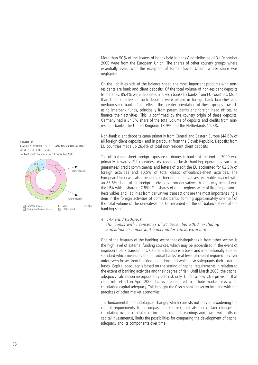More than 50% of the issuers of bonds held in banks' portfolios as of 31 December 2000 were from the European Union. The shares of other country groups where essentially even, with the exception of former Soviet Union, whose share was negligible.

On the liabilities side of the balance sheet, the most important products with nonresidents are bank and client deposits. Of the total volume of non-resident deposits from banks, 85.4% were deposited in Czech banks by banks from EU countries. More than three quarters of such deposits were placed in foreign bank branches and medium-sized banks. This reflects the greater orientation of these groups towards using interbank funds, principally from parent banks and foreign head offices, to finance their activities. This is confirmed by the country origin of these deposits. Germany had a 34.7% share of the total volume of deposits and credits from nonresident banks, the United Kingdom 18.9% and the Netherlands 11.7%.

Non-bank client deposits came primarily from Central and Eastern Europe (44.6% of all foreign client deposits), and in particular from the Slovak Republic. Deposits from EU countries made up 26.4% of total non-resident client deposits.

The off-balance-sheet foreign exposure of domestic banks at the end of 2000 was primarily towards EU countries. As regards classic banking operations such as guarantees, credit commitments and letters of credit the EU accounted for 62.3% of foreign activities and 10.5% of total classic off-balance-sheet activities. The European Union was also the main partner on the derivatives receivables market with an 85.6% share of all foreign receivables from derivatives. A long way behind was the USA with a share of 7.8%. The shares of other regions were of little importance. Receivables and liabilities from derivatives transactions are the most important single item in the foreign activities of domestic banks, forming approximately one half of the total volume of the derivatives market recorded on the off balance sheet of the banking sector.

# 4. CAPITAL ADEQUACY

(for banks with licences as of 31 December 2000, excluding Konsolidační banka and banks under conservatorship)

One of the features of the banking sector that distinguishes it from other sectors is the high level of external funding sources, which may be jeopardised in the event of imprudent bank transactions. Capital adequacy is a basic and internationally applied standard which measures the individual banks' real level of capital required to cover unforeseen losses from banking operations and which also safeguards their external funds. Capital adequacy is based on the setting of capital requirements in relation to the extent of banking activities and their degree of risk. Until March 2000, the capital adequacy calculation incorporated credit risk only. Under a new CNB provision that came into effect in April 2000, banks are required to include market risks when calculating capital adequacy. This brought the Czech banking sector into line with the practices of other market economies.

The fundamental methodological change, which consists not only in broadening the capital requirements to encompass market risk, but also in certain changes in calculating overall capital (e.g. including retained earnings and lower write-offs of capital investments), limits the possibilities for comparing the development of capital adequacy and its components over time.



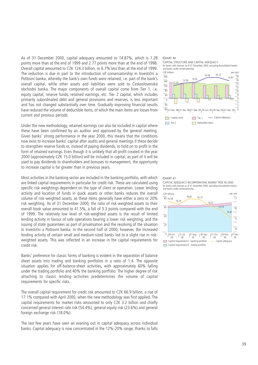As of 31 December 2000, capital adequacy amounted to 14.87%, which is 1.28 points more than at the end of 1999 and 2.77 points more than at the end of 1998. Overall capital amounted to CZK 124.3 billion, or 6.7% less than at the end of 1999. The reduction is due in part to the introduction of conservatorship in Investiční a Poštovní banka, whereby the bank's own funds were retained, i.e. part of the bank's overall capital, while other assets and liabilities were sold to Československá obchodní banka. The major components of overall capital come from Tier 1, i.e. equity capital, reserve funds, retained earnings, etc. Tier 2 capital, which includes primarily subordinated debt and general provisions and reserves, is less important and has not changed substantially over time. Gradually improving financial results have reduced the volume of deductible items, of which the main items are losses from current and previous periods.

Under the new methodology, retained earnings can also be included in capital where these have been confirmed by an auditor and approved by the general meeting. Given banks' strong performance in the year 2000, this means that the conditions now exist to increase banks' capital after audits and general meetings if these decide to strengthen reserve funds or, instead of paying dividends, to hold on to profit in the form of retained earnings. Even though it is unlikely that all profit created in the year 2000 (approximately CZK 15.0 billion) will be included in capital, as part of it will be used to pay dividends to shareholders and bonuses to management, the opportunity to increase capital is far greater than in previous years.

Most activities in the banking sector are included in the banking portfolio, with which are linked capital requirements in particular for credit risk. These are calculated using specific risk weightings dependent on the type of client or operation. Lower lending activity and location of funds in quick assets or other banks reduces the overall volume of risk-weighted assets, as these items generally have either a zero or 20% risk weighting. As of 31 December 2000, the ratio of risk-weighted assets to their overall book value amounted to 41.5%, a fall of 3.3 points compared with the end of 1999. The relatively low level of risk-weighted assets is the result of limited lending activity in favour of safe operations bearing a lower risk weighting, and the issuing of state guarantees as part of privatisation and the resolving of the situation in Investiční a Poštovní banka. In the second half of 2000, however, the increased lending activity of certain small and medium-sized banks led to a slight rise in riskweighted assets. This was reflected in an increase in the capital requirements for credit risk.

Banks' preference for classic forms of banking is evident in the separation of balance sheet assets into trading and banking portfolios in a ratio of 1:4. The opposite situation applies for off-balance-sheet activities, with approximately 60% falling under the trading portfolio and 40% the banking portfolio. The higher degree of risk attaching to classic lending activities predetermines the volume of capital requirements for specific risks.

The overall capital requirement for credit risk amounted to CZK 66.9 billion, a rise of 17.1% compared with April 2000, when the new methodology was first applied. The capital requirements for market risks amounted to only CZK 3.2 billion and chiefly concerned general interest rate risk (54.4%), general equity risk (23.6%) and general foreign exchange risk (18.0%).

The last few years have seen an evening out in capital adequacy across individual banks. Capital adequacy is now concentrated in the 12%-20% range, thanks to falls



#### **CHART 41** CAPITAL ADEQUACY INCORPORATING MARKET RISK IN 2000

for banks with licences as of 31 December 2000, excluding Konsolidační banka and banks under conservatorship

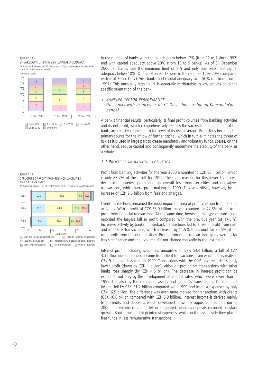#### **CHART 42**

BREAKDOWN OF BANKS BY CAPITAL ADEQUACY for banks with licences as of 31 December 2000, excluding Konsolidační banka and banks under conservatorship



in the number of banks with capital adequacy below 12% (from 12 to 7 since 1997) and with capital adequacy above 20% (from 10 to 9 banks). As of 31 December 2000, all banks met the minimum limit of 8% and only one bank had capital adequacy below 10%. Of the 28 banks 12 were in the range of 12%-20% (compared with 6 of 36 in 1997). Five banks had capital adequacy over 50% (up from four in 1997). This unusually high figure is generally attributable to low activity or to the specific orientation of the bank.

# 5. BANKING SECTOR PERFORMANCE

(for banks with licences as of 31 December, excluding Konsolidační banka)

A bank's financial results, particularly its final profit volumes from banking activities and its net profit, which comprehensively express the successful management of the bank, are directly connected to the level of its risk coverage. Profit thus becomes the primary source for the inflow of further capital, which in turn eliminates the threat of risk as it is used in large part to create mandatory and voluntary funds. Losses, on the other hand, reduce capital and consequently undermine the stability of the bank as a whole.

# 5.1 PROFIT FROM BANKING ACTIVITIES

Profit from banking activities for the year 2000 amounted to CZK 80.1 billion, which is only 88.7% of the result for 1999. The main reasons for this lower level are a decrease in interest profit and an overall loss from securities and derivatives transactions, which were profit-making in 1999. This was offset, however, by an increase of CZK 2.6 billion from fees and charges.

Client transactions remained the most important area of profit creation from banking activities. With a profit of CZK 35.9 billion these accounted for 44.8% of the total profit from financial transactions. At the same time, however, this type of transaction recorded the largest fall in profit compared with the previous year (of 17.3%). Increased activity by banks in interbank transactions led to a rise in profit from cash and interbank transactions, which increased by 11.9% to account for 30.5% of the total profit from banking activities. Profits from other transactions types were of far less significance and their volume did not change markedly in the last period.

Interest profit, including securities, amounted to CZK 53.4 billion, a fall of CZK 3.3 billion due to reduced income from client transactions, from which banks realised CZK 9.1 billion less than in 1999. Transactions with the CNB also recorded slightly lower profit (down by CZK 1 billion), although profit from transactions with other banks rose sharply (by CZK 4.6 billion). The decrease in interest profit can be explained not only by the development of interest rates, which were lower than in 1999, but also by the volume of assets and liabilities transactions. Total interest income fell by CZK 21.2 billion compared with 1999 and interest expenses by only CZK 16.5 billion. The difference was even more marked for transactions with clients (CZK 16.0 billion compared with CZK 6.9 billion). Interest income is derived mainly from credits and deposits, which developed in wholly opposite directions during 2000. The volume of credits fell or stagnated, whereas deposits recorded constant growth. Banks thus had high interest expenses, while on the assets side they placed free funds in less remunerative transactions.

**CHART 43** STRUCTURE OF PROFIT FROM FINANCIAL ACTIVITIES BY TYPE OF ACTIVITY for banks with licences as of 31 December 2000, excluding Konsolidační banka

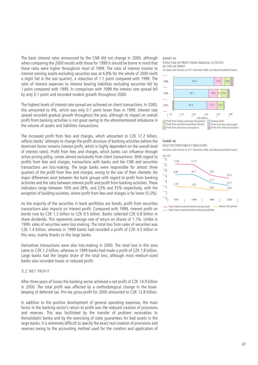The basic interest rates announced by the CNB did not change in 2000, although when comparing the 2000 results with those for 1999 it should be borne in mind that these rates were higher throughout most of 1999. The ratio of interest income to interest earning assets excluding securities was at 6.8% for the whole of 2000 (with a slight fall in the last quarter), a reduction of 1.1 point compared with 1999. The ratio of interest expenses to interest bearing liabilities excluding securities fell by 1 point compared with 1999. In comparison with 1999 the interest rate spread fell by only 0.1 point and recorded modest growth throughout 2000.

The highest levels of interest rate spread are achieved on client transactions. In 2000, this amounted to 4%, which was only 0.1 point lower than in 1999. Interest rate spread recorded gradual growth throughout the year, although its impact on overall profit from banking activities is not great owing to the aforementioned imbalance in the volume of assets and liabilities transactions.

The increased profit from fees and charges, which amounted to CZK 17.2 billion, reflects banks' attempts to change the profit structure of banking activities (where the dominant factor remains interest profit, which is highly dependent on the overall level of interest rates). Profit from fees and charges, which banks can influence through active pricing policy, comes almost exclusively from client transactions. With regard to profits from fees and charges, transactions with banks and the CNB and securities transactions are loss-making. The large banks were responsible for almost three quarters of the profit from fees and charges, owing to the size of their clientele. No major differences exist between the bank groups with regard to profit from banking activities and the ratio between interest profit and profit from banking activities. These indicators range between 16% and 28%, and 22% and 35% respectively, with the exception of building societies, where profit from fees and charges is far lower (5.5%).

As the majority of the securities in bank portfolios are bonds, profit from securities transactions also impacts on interest profit. Compared with 1999, interest profit on bonds rose by CZK 1.3 billion to CZK 9.5 billion. Banks collected CZK 0.8 billion in share dividends. This represents average rate of return on shares of 1.1%. Unlike in 1999, sales of securities were loss-making. The total loss from sales of securities was CZK 1.4 billion, whereas in 1999 banks had recorded a profit of CZK 4.5 billion in this area, mainly thanks to the large banks.

Derivatives transactions were also loss-making in 2000. The total loss in this area came to CZK 1.2 billion, whereas in 1999 banks had made a profit of CZK 1.8 billion. Large banks had the largest share of the total loss, although most medium-sized banks also recorded losses or reduced profit.

# 5.2 NET PROFIT

After three years of losses the banking sector achieved a net profit of CZK 14.9 billion in 2000. The total profit was affected by a methodological change in the bookkeeping of deferred tax. Pre-tax gross profit for 2000 amounted to CZK 12.8 billion.

In addition to the positive development of general operating expenses, the main factor in the banking sector's return to profit was the reduced creation of provisions and reserves. This was facilitated by the transfer of problem receivables to Konsolidační banka and by the exercising of state guarantees for bad assets in the large banks. It is extremely difficult to specify the exact real creation of provisions and reserves owing to the accounting method used for the creation and application of

#### **CHART 44** STRUCTURE OF PROFIT FROM FINANCIAL ACTIVITIES BY TYPE OF PROFIT





#### **CHART 45**

SELECTED PROFITABILITY INDICATORS for banks with licences as of 31 December 2000, excluding Konsolidační banka

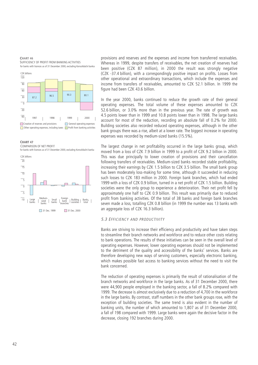**CHART 46** for banks with licences as of 31 December 2000, excluding Konsolidační banka SUFFICIENCY OF PROFIT FROM BANKING ACTIVITIES







provisions and reserves and the expenses and income from transferred receivables. Whereas in 1999, despite transfers of receivables, the net creation of reserves had been positive (CZK 87 million), in 2000 the result was strongly negative (CZK -37.4 billion), with a correspondingly positive impact on profits. Losses from other operational and extraordinary transactions, which include the expenses and income from transfers of receivables, amounted to CZK 52.1 billion. In 1999 the figure had been CZK 43.6 billion.

In the year 2000, banks continued to reduce the growth rate of their general operating expenses. The total volume of these expenses amounted to CZK 52.6 billion, or 3.0% more than in the previous year. The rate of growth was 4.5 points lower than in 1999 and 10.8 points lower than in 1998. The large banks account for most of the reduction, recording an absolute fall of 0.2% for 2000. Building societies also recorded reduced operating expenses, although in the other bank groups there was a rise, albeit at a lower rate. The biggest increase in operating expenses was recorded by medium-sized banks (15.5%).

The largest change in net profitability occurred in the large banks group, which moved from a loss of CZK 7.9 billion in 1999 to a profit of CZK 9.2 billion in 2000. This was due principally to lower creation of provisions and their cancellation following transfers of receivables. Medium-sized banks recorded stable profitability, increasing their earnings by CZK 1.5 billion to CZK 3.5 billion. The small bank group has been moderately loss-making for some time, although it succeeded in reducing such losses to CZK 183 million in 2000. Foreign bank branches, which had ended 1999 with a loss of CZK 0.9 billion, turned in a net profit of CZK 1.5 billion. Building societies were the only group to experience a deterioration. Their net profit fell by approximately one half to CZK 0.9 billion. This result was primarily due to reduced profit from banking activities. Of the total of 38 banks and foreign bank branches seven made a loss, totalling CZK 0.8 billion (in 1999 the number was 13 banks with an aggregate loss of CZK 16.3 billion).

# 5.3 EFFICIENCY AND PRODUCTIVITY

Banks are striving to increase their efficiency and productivity and have taken steps to streamline their branch networks and workforce and to reduce other costs relating to bank operations. The results of these initiatives can be seen in the overall level of operating expenses. However, lower operating expenses should not be implemented to the detriment of the quality and accessibility of the banks' services. Banks are therefore developing new ways of serving customers, especially electronic banking, which makes possible fast access to banking services without the need to visit the bank concerned.

The reduction of operating expenses is primarily the result of rationalisation of the branch networks and workforce in the large banks. As of 31 December 2000, there were 44,900 people employed in the banking sector, a fall of 8.2% compared with 1999. The decrease is almost exclusively due to a reduction of 4,700 in the workforce in the large banks. By contrast, staff numbers in the other bank groups rose, with the exception of building societies. The same trend is also evident in the number of banking units, the number of which amounted to 1,807 as of 31 December 2000, a fall of 198 compared with 1999. Large banks were again the decisive factor in the decrease, closing 192 branches during 2000.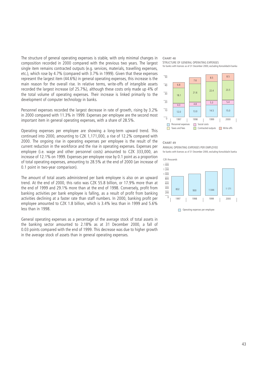The structure of general operating expenses is stable, with only minimal changes in composition recorded in 2000 compared with the previous two years. The largest single item remains contracted outputs (e.g. services, materials, travelling expenses, etc.), which rose by 4.7% (compared with 3.7% in 1999). Given that these expenses represent the largest item (44.6%) in general operating expenses, this increase is the main reason for the overall rise. In relative terms, write-offs of intangible assets recorded the largest increase (of 25.7%), although these costs only made up 4% of the total volume of operating expenses. Their increase is linked primarily to the development of computer technology in banks.

Personnel expenses recorded the largest decrease in rate of growth, rising by 3.2% in 2000 compared with 11.3% in 1999. Expenses per employee are the second most important item in general operating expenses, with a share of 28.5%.

Operating expenses per employee are showing a long-term upward trend. This continued into 2000, amounting to CZK 1,171,000, a rise of 12.2% compared with 2000. The ongoing rise in operating expenses per employee is the result of the current reduction in the workforce and the rise in operating expenses. Expenses per employee (i.e. wage and other personnel costs) amounted to CZK 333,000, an increase of 12.1% on 1999. Expenses per employee rose by 0.1 point as a proportion of total operating expenses, amounting to 28.5% at the end of 2000 (an increase of 0.1 point in two-year comparison).

The amount of total assets administered per bank employee is also on an upward trend. At the end of 2000, this ratio was CZK 55.8 billion, or 17.9% more than at the end of 1999 and 29.1% more than at the end of 1998. Conversely, profit from banking activities per bank employee is falling, as a result of profit from banking activities declining at a faster rate than staff numbers. In 2000, banking profit per employee amounted to CZK 1.8 billion, which is 3.4% less than in 1999 and 5.6% less than in 1998.

General operating expenses as a percentage of the average stock of total assets in the banking sector amounted to 2.18% as at 31 December 2000, a fall of 0.03 points compared with the end of 1999. This decrease was due to higher growth in the average stock of assets than in general operating expenses.

#### **CHART 48** for banks with licences as of 31 December 2000, excluding Konsolidační banka STRUCTURE OF GENERAL OPERATING EXPENSES



**CHART 49** for banks with licences as of 31 December 2000, excluding Konsolidační banka ANNUAL OPERATING EXPENSES PER EMPLOYEE



Operating expenses per employee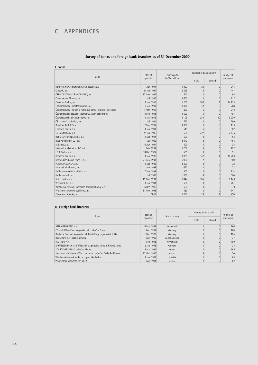# **C. APPENDICES**

# **Survey of banks and foreign bank branches as of 31 December 2000**

**I. Banks**

| Bank                                                        | Start of     | Equity capital  | Number of banking units | Number of      |           |
|-------------------------------------------------------------|--------------|-----------------|-------------------------|----------------|-----------|
|                                                             | operation    | in CZK millions | in CR                   | abroad         | employees |
| Bank Austria Creditanstalt Czech Republic a.s.              | 1 Apr. 1991  | 1997            | 20                      | $\overline{0}$ | 945       |
| Citibank, a.s.                                              | 24 Jun. 1991 | 2 4 2 5         |                         | $\overline{0}$ | 441       |
| CREDIT LYONNAIS BANK PRAHA, a.s.                            | 12 Nov. 1992 | 500             | $\Omega$                | $\Omega$       | 95        |
| Česká exportní banka, a.s.                                  | 1 Jul. 1995  | 1650            | $\Omega$                | $\Omega$       | 117       |
| Česká spořitelna, a.s.                                      | 1 Jan. 1969  | 15 200          | 707                     | $\mathbf{1}$   | 14 133    |
| Českomoravská hypoteční banka, a.s.                         | 10 Jan. 1991 | 1 3 2 8         | 42                      | $\overline{0}$ | 268       |
| Českomoravská záruční a rozvojová banka, akciová společnost | 1 Mar. 1992  | 890             | 5                       | $\Omega$       | 242       |
| Českomoravská stavební spořitelna, akciová společnost       | 8 Sep. 1993  | 1 500           | 5                       | $\overline{0}$ | 491       |
| Československá obchodní banka, a.s                          | 1 Jan. 1965  | 5 1 0 5         | 253                     | 30             | 9 2 3 9   |
| ČS stavební spořitelna, a.s.                                | 1 Jul. 1994  | 750             | $\Omega$                | $\Omega$       | 290       |
| Dresdner Bank C7 a.s.                                       | 12 May 1992  | 1 000           |                         | $\Omega$       | 173       |
| Expandia Banka, a.s.                                        | 1 Jan. 1991  | 515             | 6                       | $\overline{0}$ | 382       |
| GE Capital Bank, a.s.                                       | 22 Jun. 1998 | 500             | 227                     | $\overline{0}$ | 2 176     |
| HYPO stavební spořitelna, a.s.                              | 1 Oct. 1994  | 500             | $\overline{4}$          | $\Omega$       | 54        |
| HypoVereinsbank CZ a.s.                                     | 1 Jul. 1992  | 5 0 4 7         | 18                      | $\Omega$       | 466       |
| IC Banka, a.s.                                              | 6 Apr. 1994  | 500             |                         | $\overline{0}$ | 34        |
| Interbanka, akciová společnost                              | 1 Feb. 1991  | 1709            | $\overline{0}$          | $\Omega$       | 107       |
| J & T Banka, a.s.                                           | 18 Dec. 1992 | 501             | $\Omega$                | $\Omega$       | 51        |
| Komerční banka, a.s.                                        | 1 Jan. 1990  | 19 005          | 342                     | $\overline{4}$ | 10 703    |
| Konsolidační banka Praha, s.p.ú.                            | 21 Feb. 1991 | 5950            | 2                       | $\Omega$       | 580       |
| PLZEŇSKÁ BANKA, a.s.                                        | 1 Oct. 1993  | 1 0 0 0         | $\Omega$                | $\Omega$       | 38        |
| První městská banka, a.s.                                   | 1 Sep. 1993  | 627             | $\Omega$                | $\Omega$       | 72        |
| Raiffeisen stavební spořitelna a.s.                         | 7 Sep. 1993  | 500             | $\Omega$                | $\overline{0}$ | 314       |
| Raiffeisenbank a.s.                                         | 1 Jul. 1993  | 1000            | 19                      | $\overline{0}$ | 500       |
| Union banka, a.s.                                           | 15 Nov. 1991 | 2 4 4 4         | 106                     | $\Omega$       | 1 1 4 9   |
| Volksbank CZ, a.s.                                          | 1 Jan. 1994  | 650             | 10                      | $\Omega$       | 201       |
| Všeobecná stavební spořitelna Komerční banky, a.s.          | 16 Dec. 1993 | 500             | $\Omega$                | $\overline{0}$ | 330       |
| Wüstenrot - stavební spořitelna, a.s.                       | 11 Nov. 1993 | 550             | $\Omega$                | $\mathbf{0}$   | 147       |
| Živnostenská banka, a.s.                                    | 1868         | 1 3 6 0         | 23                      | $\mathbf{1}$   | 758       |

# **II. Foreign bank branches**

| <b>Bank</b>                                                       |              |                    | Number of local units | Number of |           |  |
|-------------------------------------------------------------------|--------------|--------------------|-----------------------|-----------|-----------|--|
|                                                                   | operation    | Home country       | in CR                 | abroad    | employees |  |
| ABN AMRO BANK N.V.                                                | 6 May 1993   | <b>Netherlands</b> |                       |           | 166       |  |
| COMMERZBANK Aktiengesellschaft, pobočka Praha                     | 1 Dec. 1992  | Germany            |                       |           | 184       |  |
| Deutsche Bank Aktiengesellschaft Filiale Prag, organizační složka | 1 Dec. 1993  | Germany            |                       |           | 105       |  |
| HSBC Bank plc - pobočka Praha                                     | 1 May 1997   | United Kingdom     |                       |           | 37        |  |
| ING Bank N.V.                                                     | 1 Sep. 1993  | <b>Netherlands</b> |                       |           | 160       |  |
| RAIFFEISENBANK IM STIFTLAND eG pobočka Cheb, odštěpný závod       | 2 Jan. 1995  | Germany            |                       |           | 24        |  |
| SOCIETE GENERALE, pobočka PRAHA                                   | 15 Apr. 1991 | France             |                       |           | 165       |  |
| Sparkasse Mühlviertel - West banka a.s., pobočka České Budějovice | 20 Mar. 1995 | Austria            |                       |           | 50        |  |
| Všeobecná úverová banka, a.s., pobočka Praha                      | 14 Jan. 1993 | Slovakia           |                       |           | 63        |  |
| Waldviertler Sparkasse von 1842                                   | 1 May 1994   | Austria            |                       |           | 62        |  |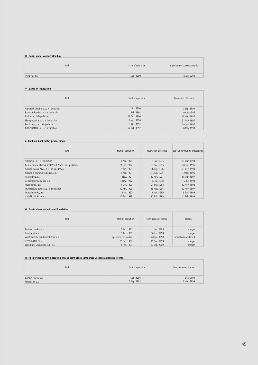# **III. Banks under conservatorship**

| Bank           | Start of operation | Imposition of conservatorship |
|----------------|--------------------|-------------------------------|
| IP banka, a.s. | 1 Jan. 1990        | 16 Jun. 2000                  |

#### **IV. Banks in liquidation**

| Bank                                  | Start of operation | Revocation of licence |
|---------------------------------------|--------------------|-----------------------|
| Agrobanka Praha, a.s., in liquidation | 1 Jul. 1990        | 2 Sep. 1998           |
| Banka Bohemia, a.s. - in liquidation  | 1 Feb. 1991        | not revoked           |
| Baska a.s., in liquidation            | 13 Dec. 1990       | 31 Mar. 1997          |
| Ekoagrobanka, a.s., in liquidation    | 1 Nov. 1990        | 31 May 1997           |
| Evrobanka, a.s., in liquidation       | 1 Oct. 1991        | 30 Jun. 1997          |
| COOP BANKA, a.s., in liquidation      | 24 Feb. 1992       | 6 May 1998            |

# **V. Banks in bankruptcy proceedings**

| <b>Bank</b>                                            | Start of operation | Revocation of licence | Start of bankruptcy proceedings |
|--------------------------------------------------------|--------------------|-----------------------|---------------------------------|
| AB Banka, a.s. in liquidation                          | 1 Apr. 1991        | 15 Dec. 1995          | 18 Mar. 1999                    |
| Česká banka, akciová společnost Praha - in liquidation | 28 Feb. 1992       | 15 Dec. 1995          | 28 Jun. 1996                    |
| Kreditní banka Plzeň, a.s. - in liquidation            | 1 Jan. 1991        | 8 Aug. 1996           | 21 Dec. 1998                    |
| Kreditní a průmyslová banka, a.s.                      | 1 Apr. 1991        | 31 Aug. 1995          | 2 Oct. 1995                     |
| Realitbanka.a.s.                                       | 1 Nov. 1991        | 17 Apr. 1997          | 24 Mar. 1997                    |
| Velkomoravská banka, a.s.                              | 3 Nov. 1992        | 10 Jul. 1998          | 2 Jul. 1998                     |
| Pragobanka, a.s.                                       | 1 Oct. 1990        | 24 Oct. 1998          | 19 Nov. 1998                    |
| První slezská banka a.s., in liquidation               | 12 Jan. 1993       | 13 May 1996           | 20 Nov. 1997                    |
| Moravia Banka, a.s.                                    | 2 Jul. 1992        | 9 Nov. 1999           | 8 Dec. 1999                     |
| UNIVERSAL BANKA, a.s.                                  | 15 Feb. 1993       | 10 Feb. 1999          | 12 Feb. 1999                    |

# **VI. Banks dissolved without liquidation**

| Bank                               | Start of operation    | Termination of licence | Reason                |
|------------------------------------|-----------------------|------------------------|-----------------------|
| Poštovní banka, a.s.               | 1 Jan. 1991           | 1 Jan. 1994            | merger                |
| Bank Austria a.s.                  | 1 Jan. 1992           | 30 Jun. 1998           | merger                |
| Westdeutsche Landesbank (CZ), a.s. | operation not started | 20 Jan. 1998           | operation not started |
| HYPO-BANK CZ a.s.                  | 26 Feb. 1992          | 31 Dec. 1998           | merger                |
| Erste Bank Sparkassen (CR) a.s.    | 1 Feb. 1993           | 30 Sep. 2000           | merger                |

# **VII. Former banks now operating only as joint-stock companies without a banking licence**

| Bank             | Start of operation | Termination of licence |
|------------------|--------------------|------------------------|
| BANKA HANÁ, a.s. | 11 Jan. 1991       | 1 Dec. 2000            |
| Foresbank, a.s.  | 7 Sep. 1993        | Mar. 1999              |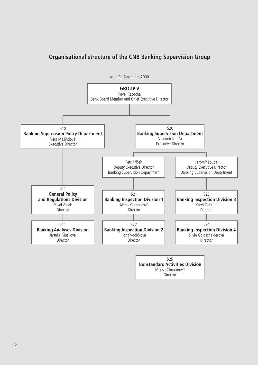# **Organisational structure of the CNB Banking Supervision Group**

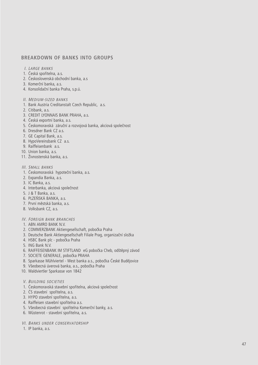# **BREAKDOWN OF BANKS INTO GROUPS**

- I. LARGE BANKS
- 1. Česká spořitelna, a.s.
- 2. Československá obchodní banka, a.s
- 3. Komerční banka, a.s.
- 4. Konsolidační banka Praha, s.p.ú.
- II. MEDIUM -SIZED BANKS
- 1. Bank Austria Creditanstalt Czech Republic, a.s.
- 2. Citibank, a.s.
- 3. CREDIT LYONNAIS BANK PRAHA, a.s.
- 4. Česká exportní banka, a.s.
- 5. Českomoravská záruční a rozvojová banka, akciová společnost
- 6. Dresdner Bank CZ a.s.
- 7. GE Capital Bank, a.s.
- 8. HypoVereinsbank CZ a.s.
- 9. Raiffeisenbank a.s.
- 10. Union banka, a.s.
- 11. Živnostenská banka, a.s.
- III. SMALL BANKS
- 1. Českomoravská hypoteční banka, a.s.
- 2. Expandia Banka, a.s.
- 3. IC Banka, a.s.
- 4. Interbanka, akciová společnost
- 5. J & T Banka, a.s.
- 6. PLZEŇSKÁ BANKA, a.s.
- 7. První městská banka, a.s.
- 8. Volksbank CZ, a.s.
- IV. FOREIGN BANK BRANCHES
- 1. ABN AMRO BANK N.V.
- 2. COMMERZBANK Aktiengesellschaft, pobočka Praha
- 3. Deutsche Bank Aktiengesellschaft Filiale Prag, organizační složka
- 4. HSBC Bank plc pobočka Praha
- 5. ING Bank N.V.
- 6. RAIFFEISENBANK IM STIFTLAND eG pobočka Cheb, odštěpný závod
- 7. SOCIETE GENERALE, pobočka PRAHA
- 8. Sparkasse Mühlviertel West banka a.s., pobočka České Budějovice
- 9. Všeobecná úverová banka, a.s., pobočka Praha
- 10. Waldviertler Sparkasse von 1842
- V. BUILDING SOCIETIES
- 1. Českomoravská stavební spořitelna, akciová společnost
- 2. ČS stavební spořitelna, a.s.
- 3. HYPO stavební spořitelna, a.s.
- 4. Raiffeisen stavební spořitelna a.s.
- 5. Všeobecná stavební spořitelna Komerční banky, a.s.
- 6. Wüstenrot stavební spořitelna, a.s.
- VI. BANKS UNDER CONSERVATORSHIP
- 1. IP banka, a.s.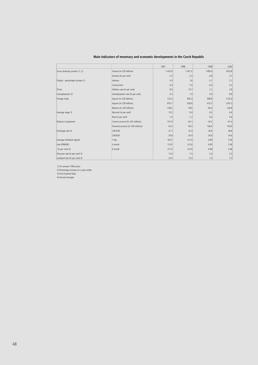|                                 |                                     | 1997     | 1998    | 1999    | 2000     |
|---------------------------------|-------------------------------------|----------|---------|---------|----------|
| Gross domestic product 1), 2)   | Volume (in CZK billions)            | 1432.8   | 1 401.3 | 1390.6  | 1433.8   |
|                                 | Increase (in per cent)              | $-1.0$   | $-2.2$  | $-0.8$  | 3.1      |
| Output - percentage increase 2) | Industry                            | 4.5      | 1.6     | $-3.1$  | 5.1      |
|                                 | Construction                        | $-3.9$   | $-7.0$  | $-6.5$  | 5.3      |
| Prices                          | Inflation rate (in per cent)        | 8.5      | 10.7    | 2.1     | 3.9      |
| Unemployment 3)                 | Unemployment rate (in per cent)     | 5.2      | 7.5     | 9.4     | 8.8      |
| Foreign trade                   | Exports (in CZK billions)           | 722.5    | 850.3   | 908.8   | 1120.4   |
|                                 | Imports (in CZK billions)           | 870.7    | 928.9   | 973.2   | 1247.2   |
|                                 | Balance (in CZK billions)           | $-148.2$ | $-78.6$ | $-64.4$ | $-126.8$ |
| Average wage 2)                 | Nominal (in per cent)               | 10.5     | 9.4     | 8.2     | 6.6      |
|                                 | Real (in per cent)                  | 1.9      | $-1.2$  | 6.0     | 2.6      |
| Balance of payments             | Current account (in CZK millions)   | $-101.9$ | $-43.1$ | $-54.2$ | $-91.4$  |
|                                 | Financial account (in CZK millions) | 34.3     | 94.3    | 106.6   | 129.6    |
| Exchange rate 4)                | CZK/USD                             | 31.7     | 32.3    | 34.6    | 38.6     |
|                                 | <b>CZK/EUR</b>                      | 35.8     | 35.9    | 36.9    | 35.6     |
| Average interbank deposit       | 7 day                               | 18.31    | 14.15   | 6.85    | 5.29     |
| rate (PRIBOR)                   | 3 month                             | 15.97    | 14.33   | 6.85    | 5.36     |
| (in per cent) 4)                | 6 month                             | 15.15    | 14.23   | 6.89    | 5.48     |
| Discount rate (in per cent) 3)  |                                     | 13.0     | 7.5     | 5.0     | 5.0      |
| Lombard rate (in per cent) 3)   |                                     | 23.0     | 12.5    | 7.5     | 7.5      |

# **Main indicators of monetary and economic developments in the Czech Republic**

1) At constant 1995 prices

2) Percentage increase on a year earlier

3) End-of-period data

4) Annual averages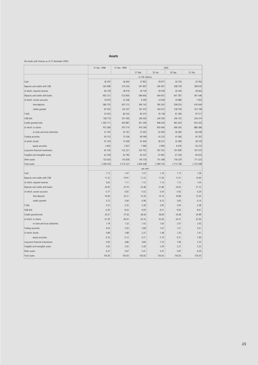#### **Assets**

#### (for banks with licences as of 31 December 2000)

|                                 | 31 Dec. 1998 | 31 Dec. 1999    | 2000      |               |               |           |
|---------------------------------|--------------|-----------------|-----------|---------------|---------------|-----------|
|                                 |              |                 | 31 Mar.   | 30 Jun.       | 30 Sep.       | 31 Dec.   |
|                                 |              | in CZK millions |           |               |               |           |
| Cash                            | 26 397       | 36 903          | 27852     | 29 877        | 30 730        | 34 782    |
| Deposits and credits with CNB   | 265 998      | 274 204         | 291 897   | 290 907       | 298 759       | 289 676   |
| of which: required reserves     | 85 739       | 28 019          | 29 134    | 29 559        | 30 336        | 28 442    |
| Deposits and credits with banks | 492 213      | 572 856         | 584 606   | 564 925       | 641 787       | 591 546   |
| of which: current accounts      | 18 0 55      | 23 20 6         | 8 3 9 0   | 14 009        | 24 986        | 7955      |
| time deposits                   | 386 705      | 407 313         | 394 742   | 390 243       | 458 053       | 416 444   |
| credits granted                 | 87 453       | 142 337         | 181 474   | 160 673       | 158 749       | 167 148   |
| T-bills                         | 52 925       | 80 532          | 85 373    | 76 138        | 81 280        | 97 517    |
| CNB bills                       | 158 770      | 201 900         | 236 300   | 240 593       | 244 135       | 234 374   |
| Credits granted (net)           | 1 000 111    | 943 881         | 951 294   | 948 029       | 962 626       | 952 435   |
| of which: to clients            | 972 366      | 910 714         | 914 294   | 905 940       | 906 345       | 886 386   |
| to state and local authorities  | 27 745       | 33 167          | 37 000    | 42 090        | 56 280        | 66 049    |
| Trading securities              | 95 152       | 75 336          | 69 599    | 43 223        | 41 066        | 92 787    |
| of which: bonds                 | 91 3 20      | 72 409          | 61 609    | 38 227        | 32 589        | 38 518    |
| equity securities               | 3 8 3 2      | 2927            | 7990      | 4 9 9 5       | 8 4 7 6       | 54 270    |
| Long-term financial investments | 92 759       | 122 221         | 150 752   | 187 332       | 191 999       | 197 375   |
| Tangible and intangible assets  | 62 309       | 62782           | 62 037    | 61 681        | 61 536        | 60 633    |
| Other assets                    | 102 620      | 142 606         | 140 729   | 141 396       | 159 229       | 171 323   |
| Total assets                    | 2 349 254    | 2 5 1 3 2 2 1   | 2 600 438 | 2 5 8 4 1 0 2 | 2 7 1 3 1 4 6 | 2 722 448 |
|                                 |              |                 | per cent  |               |               |           |
| Cash                            | 1.12         | 1.47            | 1.07      | 1.16          | 1.13          | 1.28      |
| Deposits and credits with CNB   | 11.32        | 10.91           | 11.22     | 11.26         | 11.01         | 10.64     |
| of which: required reserves     | 3.65         | 1.11            | 1.12      | 1.14          | 1.12          | 1.04      |
| Deposits and credits with banks | 20.95        | 22.79           | 22.48     | 21.86         | 23.65         | 21.73     |
| of which: current accounts      | 0.77         | 0.92            | 0.32      | 0.54          | 0.92          | 0.29      |
| time deposits                   | 16.46        | 16.21           | 15.18     | 15.10         | 16.88         | 15.30     |
| credits granted                 | 3.72         | 5.66            | 6.98      | 6.22          | 5.85          | 6.14      |
| T-bills                         | 2.25         | 3.20            | 3.28      | 2.95          | 3.00          | 3.58      |
| CNB bills                       | 6.76         | 8.03            | 9.09      | 9.31          | 9.00          | 8.61      |
| Credits granted (net)           | 42.57        | 37.56           | 36.58     | 36.69         | 35.48         | 34.98     |
| of which: to clients            | 41.39        | 36.24           | 35.16     | 35.06         | 33.41         | 32.56     |
| to state and local authorities  | 1.18         | 1.32            | 1.42      | 1.63          | 2.07          | 2.43      |
| <b>Trading securities</b>       | 4.05         | 3.00            | 2.68      | 1.67          | 1.51          | 3.41      |
| of which: bonds                 | 3.89         | 2.88            | 2.37      | 1.48          | 1.20          | 1.41      |
| equity securities               | 0.16         | 0.12            | 0.31      | 0.19          | 0.31          | 1.99      |
| Long-term financial investments | 3.95         | 4.86            | 5.80      | 7.25          | 7.08          | 7.25      |
| Tangible and intangible assets  | 2.65         | 2.50            | 2.39      | 2.39          | 2.27          | 2.23      |
| Other assets                    | 4.37         | 5.67            | 5.41      | 5.47          | 5.87          | 6.29      |
| <b>Total assets</b>             | 100.00       | 100.00          | 100.00    | 100.00        | 100.00        | 100.00    |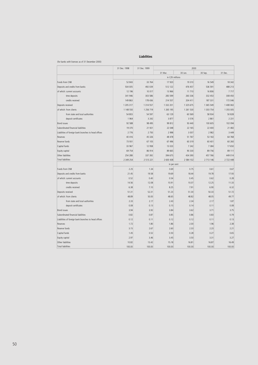# **Liabilities**

(for banks with licences as of 31 December 2000)

|                                                      | 31 Dec. 1998  | 31 Dec. 1999  | 2000            |               |               |           |
|------------------------------------------------------|---------------|---------------|-----------------|---------------|---------------|-----------|
|                                                      |               |               | 31 Mar.         | 30 Jun.       | 30 Sep.       | 31 Dec.   |
|                                                      |               |               | in CZK millions |               |               |           |
| Funds from CNB                                       | 52 843        | 33 764        | 17 920          | 19 310        | 16 549        | 18 342    |
| Deposits and credits from banks                      | 504 005       | 492 039       | 512 122         | 476 457       | 536 591       | 488 213   |
| of which: current accounts                           | 12 19 6       | 10 017        | 13 966          | 11 710        | 16 806        | 7 7 1 7   |
| time deposits                                        | 341 946       | 303 586       | 283 599         | 260 336       | 332 453       | 308 450   |
| credits received                                     | 149 863       | 178 436       | 214 557         | 204 411       | 187 331       | 172 046   |
| Deposits received                                    | 1 205 317     | 1 3 1 4 5 5 7 | 1 3 3 2 2 0 1   | 1 3 2 5 6 7 5 | 1 3 6 5 5 4 9 | 1 408 063 |
| of which: from clients                               | 1 148 550     | 1 256 719     | 1 265 195       | 1 261 530     | 1 303 754     | 1 355 005 |
| from state and local authorities                     | 54 803        | 54 597        | 63 129          | 60 569        | 58 9 34       | 50 828    |
| deposit certificates                                 | 1964          | 3 2 4 2       | 3877            | 3 5 7 6       | 2861          | 2 2 3 1   |
| <b>Bond</b> issues                                   | 92 588        | 98 495        | 99 812          | 93 440        | 100 605       | 102 094   |
| Subordinated financial liabilities                   | 19 370        | 21 921        | 22 048          | 22 165        | 22 400        | 21 482    |
| Liabilities of foreign bank branches to head offices | 2 7 7 6       | 2 7 5 0       | 2998            | 3 0 0 7       | 2 9 8 2       | 3 4 4 9   |
| Reserves                                             | 40 416        | 45 3 26       | 48 478          | 51767         | 53 163        | 64 768    |
| Reserve funds                                        | 73 931        | 67 105        | 67 496          | 60 319        | 60 401        | 60 260    |
| Capital funds                                        | 33 967        | 12 9 58       | 13 0 23         | 7 2 4 2       | 7 3 8 4       | 17 650    |
| Equity capital                                       | 69 754        | 86 914        | 89 665          | 90 330        | 89 756        | 89 111    |
| Other liabilities                                    | 254 288       | 337 392       | 394 675         | 434 390       | 457 766       | 449 014   |
| <b>Total liabilities</b>                             | 2 3 4 9 2 5 4 | 2 513 221     | 2 600 438       | 2 584 102     | 2 713 146     | 2 722 448 |
|                                                      |               |               | in per cent     |               |               |           |
| Funds from CNB                                       | 2.25          | 1.34          | 0.69            | 0.75          | 0.61          | 0.67      |
| Deposits and credits from banks                      | 21.45         | 19.58         | 19.69           | 18.44         | 19.78         | 17.93     |
| of which: current accounts                           | 0.52          | 0.40          | 0.54            | 0.45          | 0.62          | 0.28      |
| time deposits                                        | 14.56         | 12.08         | 10.91           | 10.07         | 12.25         | 11.33     |
| credits received                                     | 6.38          | 7.10          | 8.25            | 7.91          | 6.90          | 6.32      |
| Deposits received                                    | 51.31         | 52.31         | 51.23           | 51.30         | 50.33         | 51.72     |
| of which: from clients                               | 48.89         | 50.00         | 48.65           | 48.82         | 48.05         | 49.77     |
| from state and local authorities                     | 2.33          | 2.17          | 2.43            | 2.34          | 2.17          | 1.87      |
| deposit certificates                                 | 0.08          | 0.13          | 0.15            | 0.14          | 0.11          | 0.08      |
| <b>Bond</b> issues                                   | 3.94          | 3.92          | 3.84            | 3.62          | 3.71          | 3.75      |
| Subordinated financial liabilities                   | 0.82          | 0.87          | 0.85            | 0.86          | 0.83          | 0.79      |
| Liabilities of foreign bank branches to head offices | 0.12          | 0.11          | 0.12            | 0.12          | 0.11          | 0.13      |
| Reserves                                             | 1.72          | 1.80          | 1.86            | 2.00          | 1.96          | 2.38      |
| Reserve funds                                        | 3.15          | 2.67          | 2.60            | 2.33          | 2.23          | 2.21      |
| Capital funds                                        | 1.45          | 0.52          | 0.50            | 0.28          | 0.27          | 0.65      |
| Equity capital                                       | 2.97          | 3.46          | 3.45            | 3.50          | 3.31          | 3.27      |
| Other liabilities                                    | 10.82         | 13.42         | 15.18           | 16.81         | 16.87         | 16.49     |
| <b>Total liabilities</b>                             | 100.00        | 100.00        | 100.00          | 100.00        | 100.00        | 100.00    |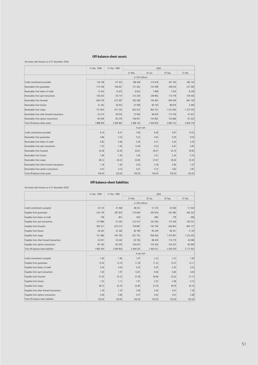# **Off-balance-sheet assets**

(for banks with licences as of 31 December 2000)

|                                             | 31 Dec. 1998 | 31 Dec. 1999 | 2000            |           |           |               |
|---------------------------------------------|--------------|--------------|-----------------|-----------|-----------|---------------|
|                                             |              |              | 31 Mar.         | 30 Jun.   | 30 Sep.   | 31 Dec.       |
|                                             |              |              | in CZK millions |           |           |               |
| Credit commitments provided                 | 154 738      | 177 425      | 188 458         | 214 618   | 267 795   | 284 130       |
| Receivables from quarantees                 | 110 748      | 108 491      | 131 442         | 103 598   | 249 616   | 227 094       |
| Receivables from letters of credit          | 15 4 53      | 13 6 73      | 8822            | 7899      | 7976      | 8 2 2 8       |
| Receivables from spot transactions          | 138 205      | 39 710       | 313 259         | 238 965   | 173 778   | 109 326       |
| Receivables from forwards                   | 609 729      | 672 387      | 760 348         | 744 465   | 649 549   | 843 138       |
| Receivables from futures                    | 31 342       | 26 052       | 47 958          | 84 743    | 89 676    | 4 3 9 4       |
| Receivables from swaps                      | 721 903      | 917 230      | 835 022         | 964 732   | 1 027 645 | 1 227 050     |
| Receivables from other forward transactions | 22 214       | 28 918       | 73 936          | 96 824    | 117 018   | 41 657        |
| Receivables from options transactions       | 84 508       | 85 578       | 108 901         | 104 962   | 102 668   | 81 200        |
| Total off-balance-sheet assets              | 1888839      | 2 069 465    | 2 468 145       | 2 560 805 | 2 685 722 | 2 8 2 6 2 1 8 |
|                                             |              |              | in per cent     |           |           |               |
| Credit commitments provided                 | 8.19         | 8.57         | 7.64            | 8.38      | 9.97      | 10.05         |
| Receivables from quarantees                 | 5.86         | 5.24         | 5.33            | 4.05      | 9.29      | 8.04          |
| Receivables from letters of credit          | 0.82         | 0.66         | 0.36            | 0.31      | 0.30      | 0.29          |
| Receivables from spot transactions          | 7.32         | 1.92         | 12.69           | 9.33      | 6.47      | 3.87          |
| Receivables from forwards                   | 32.28        | 32.49        | 30.81           | 29.07     | 24.19     | 29.83         |
| Receivables from futures                    | 1.66         | 1.26         | 1.94            | 3.31      | 3.34      | 0.16          |
| Receivables from swaps                      | 38.22        | 44.32        | 33.83           | 37.67     | 38.26     | 43.42         |
| Receivables from other forward transactions | 1.18         | 1.40         | 3.00            | 3.78      | 4.36      | 1.47          |
| Receivables from options transactions       | 4.47         | 4.14         | 4.41            | 4.10      | 3.82      | 2.87          |
| Total off-balance-sheet assets              | 100.00       | 100.00       | 100.00          | 100.00    | 100.00    | 100.00        |

**Off-balance-sheet liabilities**

(for banks with licences as of 31 December 2000)

|                                          | 31 Dec. 1998<br>31 Dec. 1999 |               |                 | 2000          |               |           |  |
|------------------------------------------|------------------------------|---------------|-----------------|---------------|---------------|-----------|--|
|                                          |                              |               | 31 Mar.         | 30 Jun.       | 30 Sep.       | 31 Dec.   |  |
|                                          |                              |               | in CZK millions |               |               |           |  |
| Credit commitments accepted              | 34 125                       | 41 068        | 48 031          | 57 27 6       | 54 583        | 51 504    |  |
| Payables from quarantees                 | 250 178                      | 287 876       | 275 669         | 287 654       | 347 984       | 356 333   |  |
| Payables from letters of credit          | 758                          | 801           | 834             | 890           | 778           | 698       |  |
| Payables from spot transactions          | 137886                       | 41 240        | 313 013         | 242 590       | 175 269       | 109 761   |  |
| Payables from forwards                   | 583 321                      | 675 210       | 759 887         | 742 794       | 656 802       | 845 127   |  |
| Payables from futures                    | 28 543                       | 23 34 6       | 46 799          | 85 249        | 89 301        | 4 1 3 9   |  |
| Payables from swaps                      | 721 486                      | 916 793       | 827 191         | 956 364       | 1 0 1 9 9 9 1 | 1 225 345 |  |
| Payables from other forward transactions | 24 001                       | 25 042        | 65 75 6         | 88 4 49       | 114 719       | 43 0 98   |  |
| Payables from options transactions       | 83 136                       | 83 478        | 106 874         | 103 356       | 104 252       | 80 999    |  |
| Total off-balance-sheet liabilities      | 1863434                      | 2 0 9 4 8 5 4 | 2 444 020       | 2 5 6 4 6 2 1 | 2 5 6 3 6 7 9 | 2 717 003 |  |
|                                          |                              |               | in per cent     |               |               |           |  |
| Credit commitments accepted              | 1.83                         | 1.96          | 1.97            | 2.23          | 2.13          | 1.90      |  |
| Payables from quarantees                 | 13.43                        | 13.74         | 11.28           | 11.22         | 13.57         | 13.11     |  |
| Payables from letters of credit          | 0.04                         | 0.04          | 0.03            | 0.03          | 0.03          | 0.03      |  |
| Payables from spot transactions          | 7.40                         | 1.97          | 12.81           | 9.46          | 6.84          | 4.04      |  |
| Payables from forwards                   | 31.30                        | 32.23         | 31.09           | 28.96         | 25.62         | 31.11     |  |
| Payables from futures                    | 1.53                         | 1.11          | 1.91            | 3.32          | 3.48          | 0.15      |  |
| Payables from swaps                      | 38.72                        | 43.76         | 33.85           | 37.29         | 39.79         | 45.10     |  |
| Payables from other forward transactions | 1.29                         | 1.20          | 2.69            | 3.45          | 4.47          | 1.59      |  |
| Payables from options transactions       | 4.46                         | 3.98          | 4.37            | 4.03          | 4.07          | 2.98      |  |
| Total off-balance-sheet liabilities      | 100.00                       | 100.00        | 100.00          | 100.00        | 100.00        | 100.00    |  |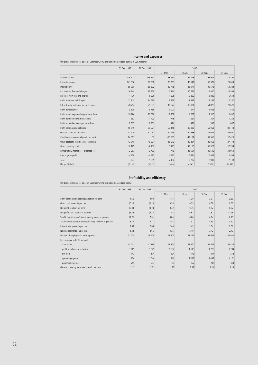# **Income and expenses**

(for banks with licences as of 31 December 2000, excluding Konsolidační banka; in CZK millions)

|                                            | 31 Dec. 1998 | 31 Dec. 1999 | 2000     |          |          |          |
|--------------------------------------------|--------------|--------------|----------|----------|----------|----------|
|                                            |              |              | 31 Mar.  | 30 Jun.  | 30 Sep.  | 31 Dec.  |
| Interest income                            | 206 711      | 153 550      | 33 451   | 66 713   | 99 944   | 132 390  |
| Interest expenses                          | 141 316      | 96 858       | 20 733   | 40 641   | 60 371   | 79 008   |
| Interest profit                            | 65 395       | 56 692       | 12 718   | 26 071   | 39 573   | 53 382   |
| Income from fees and charges               | 16 949       | 19 9 59      | 5 1 5 4  | 10 712   | 16 080   | 22 8 53  |
| Expenses from fees and charges             | 4 1 3 0      | 5 3 2 0      | 1 2 9 5  | 2 8 6 0  | 3 8 2 5  | 5614     |
| Profit from fees and charges               | 12819        | 14 639       | 3 8 5 9  | 7853     | 12 2 5 5 | 17 240   |
| Interest profit including fees and charges | 78 214       | 71 3 31      | 16 577   | 33 924   | 51 828   | 70 621   |
| Profit from securities                     | 3 1 0 5      | 5 7 3 5      | 1 0 0 7  | $-674$   | $-1022$  | $-583$   |
| Profit from foreign exchange transactions  | 10 7 84      | 10 080       | 2 9 6 8  | 4 5 0 7  | 7910     | 10 4 36  |
| Profit from derivatives transactions       | 1 5 9 3      | 1773         | $-748$   | 657      | $-257$   | $-1228$  |
| Profit from other banking transactions     | 2813         | 1 3 5 1      | 314      | 471      | 595      | 867      |
| Profit from banking activities             | 96 510       | 90 271       | 20 118   | 38 8 8 6 | 59 053   | 80 113   |
| General operating expenses                 | 47 519       | 51 067       | 11 453   | 24 988   | 37 629   | 52 601   |
| Creation of reserves and provisions (net)  | 14 067       | 87           | $-13583$ | $-42104$ | $-39556$ | $-37426$ |
| Other operating income (+) / expenses (-)  | $-42048$     | $-46304$     | $-16912$ | $-22894$ | $-25052$ | $-27174$ |
| Gross operating profit                     | $-7125$      | $-7187$      | 5 3 3 6  | 33 108   | 35 928   | 37 764   |
| Extraordinary income (+) / expenses (-)    | 2 9 6 7      | 2 700        | $-746$   | $-26654$ | $-25506$ | $-24960$ |
| Pre-tax gross profit                       | $-4158$      | $-4487$      | 4 5 9 0  | 6 4 5 4  | 10 423   | 12 804   |
| Taxes                                      | 3 0 7 2      | 1 0 8 5      | 2 104    | 2 2 8 7  | 2 9 9 3  | $-2108$  |
| Net profit (loss)                          | (7 230)      | (5572)       | 2 4 8 6  | 4 1 6 7  | 7 4 2 9  | 14 9 12  |

# **Profitability and efficiency**

(for banks with licences as of 31 December 2000, excluding Konsolidační banka)

|                                                                  | 31 Dec. 1998 | 31 Dec. 1999<br>2000 |         |         |         |         |  |
|------------------------------------------------------------------|--------------|----------------------|---------|---------|---------|---------|--|
|                                                                  |              |                      | 31 Mar. | 30 Jun. | 30 Sep. | 31 Dec. |  |
| Profit from banking activities/assets in per cent                | 4.55         | 3.90                 | 3.43    | 3.30    | 3.31    | 3.33    |  |
| Gross profit/assets in per cent                                  | (0.19)       | (0.19)               | 0.78    | 0.55    | 0.58    | 0.53    |  |
| Net profit/assets in per cent                                    | (0.33)       | (0.24)               | 0.42    | 0.35    | 0.42    | 0.62    |  |
| Net profit/Tier 1 capital in per cent                            | (5.22)       | (4.32)               | 7.54    | 6.61    | 7.82    | 11.98   |  |
| Total interest income/interest earning assets in per cent        | 11.71        | 7.81                 | 6.84    | 6.86    | 6.84    | 6.73    |  |
| Total interest expenses/interest bearing liabilities in per cent | 8.17         | 5.17                 | 4.44    | 4.37    | 4.30    | 4.17    |  |
| Interest rate spread in per cent                                 | 3.53         | 2.63                 | 2.40    | 2.49    | 2.54    | 2.56    |  |
| Net interest margin in per cent                                  | 3.44         | 2.65                 | 2.35    | 2.40    | 2.42    | 2.43    |  |
| Number of employees in banking sector                            | 51 0 79      | 48 9 24              | 48 700  | 48 162  | 45 632  | 44 9 32 |  |
| Per employee in CZK thousands:                                   |              |                      |         |         |         |         |  |
| total assets                                                     | 43 231       | 47 369               | 48 777  | 48 840  | 54 402  | 55 822  |  |
| profit from banking activities                                   | 1889         | 1845                 | 1652    | 1615    | 1725    | 1783    |  |
| net profit                                                       | $-142$       | $-114$               | 204     | 173     | 217     | 332     |  |
| operating expenses                                               | 930          | 1 0 4 4              | 941     | 1 0 3 8 | 1099    | 1 1 7 1 |  |
| personnel expenses                                               | 255          | 297                  | 69      | 152     | 237     | 333     |  |
| General operating expenses/assets in per cent                    | 2.15         | 2.21                 | 1.95    | 2.12    | 2.11    | 2.18    |  |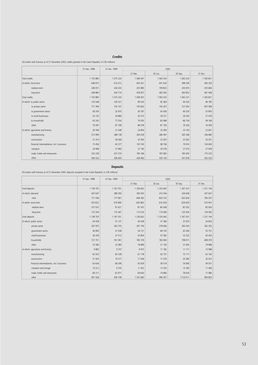# **Credits**

(for banks with licences as of 31 December 2000; credits granted in the Czech Republic; in CZK millions)

|                                           | 31 Dec. 1998 | 31 Dec. 1999 | 2000      |             |            |           |
|-------------------------------------------|--------------|--------------|-----------|-------------|------------|-----------|
|                                           |              |              | 31 Mar.   | 30 Jun.     | 30 Sep.    | 31 Dec.   |
| <b>Total credits</b>                      | 1 105 885    | 1 075 220    | 1 069 937 | 1 0 63 5 33 | 1 063 2 20 | 1 050 831 |
| of which: short-term                      | 448 975      | 414 472      | 404 031   | 401 634     | 398 549    | 383 209   |
| medium-term                               | 248 051      | 236 034      | 205 980   | 199 833     | 200 819    | 205 684   |
| long-term                                 | 408 860      | 424 714      | 459 927   | 462 065     | 463 852    | 461 938   |
| <b>Total credits</b>                      | 1 105 885    | 1 075 220    | 1069937   | 1 063 533   | 1 063 221  | 1050831   |
| of which: to public sector                | 120 548      | 100 521      | 89 243    | 82 364      | 94 3 30    | 96 785    |
| to private sector                         | 771 284      | 742 107      | 745 662   | 743 307     | 727 042    | 697 589   |
| to government sector                      | 28 25 9      | 32 970       | 36 787    | 43 428      | 46 529     | 53 804    |
| to small businesses                       | 43 155       | 34 884       | 30 575    | 29 27 1     | 29 240     | 27 476    |
| to households                             | 63 242       | 77 550       | 79 592    | 83 968      | 86 754     | 99 168    |
| other                                     | 79 397       | 87 189       | 88 078    | 81 195      | 79 3 26    | 76 009    |
| of which: agriculture and forestry        | 28 769       | 27 438       | 24 8 54   | 25 409      | 25 150     | 22 8 31   |
| manufacturing                             | 315 990      | 288 138      | 264 039   | 266 491     | 265 348    | 246 680   |
| construction                              | 31 4 14      | 28 26 6      | 25 4 93   | 22 9 25     | 22 562     | 20 301    |
| financial intermediation, incl. insurance | 73 456       | 65 377       | 103 743   | 98 706      | 79 916     | 104 640   |
| transport                                 | 29 4 9 6     | 27 983       | 27 182    | 26 578      | 27 074     | 27 639    |
| trade, hotels and restaurants             | 220 228      | 201 074      | 185 166   | 187 683     | 185 493    | 175 220   |
| other                                     | 406 532      | 436 945      | 439 460   | 435 740     | 457 678    | 453 520   |

**Deposits**

(for banks with licences as of 31 December 2000; deposits accepted in the Czech Republic; in CZK millions)

|                                           | 31 Dec. 1998 | 31 Dec. 1999 | 2000      |           |           |           |  |  |  |
|-------------------------------------------|--------------|--------------|-----------|-----------|-----------|-----------|--|--|--|
|                                           |              |              | 31 Mar.   | 30 Jun.   | 30 Sep.   | 31 Dec.   |  |  |  |
| Total deposits                            | 1 138 703    | 1 167 351    | 1 236 832 | 1 233 645 | 1 267 241 | 1 221 144 |  |  |  |
| of which: demand                          | 367 647      | 389 390      | 390 450   | 413 544   | 434 638   | 437 637   |  |  |  |
| time                                      | 771 056      | 777 961      | 846 382   | 820 102   | 832 604   | 783 507   |  |  |  |
| of which: short-term                      | 553 822      | 570 894      | 645 863   | 616 429   | 629 629   | 570 941   |  |  |  |
| medium-term                               | 107 032      | 91 621       | 87 347    | 84 30 8   | 82 535    | 83 006    |  |  |  |
| long-term                                 | 110 204      | 115 447      | 113 016   | 119 366   | 120 440   | 129 560   |  |  |  |
| Total deposits                            | 1 138 703    | 1 167 351    | 1 236 832 | 1 233 645 | 1 267 241 | 1 221 144 |  |  |  |
| of which: public sector                   | 44 3 58      | 41 127       | 44 5 49   | 37 366    | 37 670    | 34 8 20   |  |  |  |
| private sector                            | 267 975      | 263 703      | 291 740   | 278 066   | 292 045   | 262 353   |  |  |  |
| government sector                         | 36 895       | 41 038       | 54 121    | 66 743    | 65 506    | 55 751    |  |  |  |
| small businesses                          | 36 209       | 37 012       | 43 804    | 47 582    | 52 3 2 3  | 40 453    |  |  |  |
| households                                | 727 701      | 761 991      | 783 729   | 782 694   | 798 071   | 808 079   |  |  |  |
| other                                     | 25 5 66      | 22 480       | 18889     | 21 195    | 21 626    | 19 688    |  |  |  |
| of which: agriculture and forestry        | 9883         | 9 7 4 7      | 9 9 7 3   | 11 182    | 11 171    | 10 998    |  |  |  |
| manufacturing                             | 62 032       | 60 528       | 61 178    | 63727     | 72 117    | 62 100    |  |  |  |
| construction                              | 21 9 24      | 19 3 17      | 17 006    | 17 576    | 20 280    | 20 301    |  |  |  |
| financial intermediation, incl. insurance | 63 636       | 68 29 6      | 65 929    | 58 519    | 54 956    | 49 501    |  |  |  |
| transport and storage                     | 10 512       | 9 7 4 5      | 11 422    | 13 2 5 5  | 15 183    | 11 40 6   |  |  |  |
| trade, hotels and restaurants             | 69 211       | 62 971       | 69 643    | 74 880    | 78 924    | 71 984    |  |  |  |
| other                                     | 901 506      | 936 748      | 1 001 682 | 994 507   | 1014611   | 994 853   |  |  |  |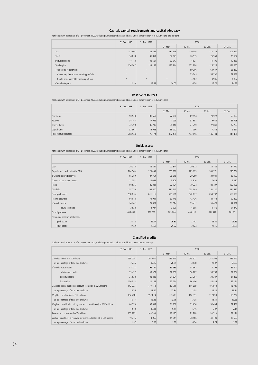# **Capital, capital requirements and capital adequacy**

(for banks with licences as of 31 December 2000, excluding Konsolidační banka and banks under conservatorship; in CZK millions and per cent)

|                                           | 31 Dec. 1998 | 31 Dec. 1999             | 2000           |         |         |          |
|-------------------------------------------|--------------|--------------------------|----------------|---------|---------|----------|
|                                           |              |                          | 31 Mar.        | 30 Jun. | 30 Sep. | 31 Dec.  |
| Tier 1                                    | 138 407      | 128 866                  | 131918         | 110 504 | 111 172 | 109 962  |
| Tier 2                                    | 34 818       | 36 857                   | 37 073         | 26 915  | 26 9 59 | 26 552   |
| Deductible items                          | 47 178       | 32 567                   | 32 047         | 14 5 21 | 11 405  | 12 2 5 3 |
| Total capital                             | 126 047      | 133 155                  | 136 944        | 122 898 | 126 725 | 124 260  |
| Total capital requirement                 | $\sim$       | $\overline{\phantom{a}}$ | $\overline{a}$ | 59 30 6 | 60 637  | 66 850   |
| Capital requirement A - banking portfolio | $\sim$       | $\overline{\phantom{a}}$ | $\,$           | 55 345  | 56 700  | 61 953   |
| Capital requirement B - trading portfolio | $\,$         | $\overline{\phantom{a}}$ | $\overline{a}$ | 3 9 6 2 | 3 9 3 6 | 4897     |
| Capital adequacy                          | 12.10        | 13.59                    | 14.02          | 16.58   | 16.72   | 14.87    |

## **Reserve resources**

(for banks with licences as of 31 December 2000, excluding Konsolidační banka and banks under conservatorship; in CZK millions)

|                         | 31 Dec. 1998 | 31 Dec. 1999 |                    |         | 2000    |         |  |
|-------------------------|--------------|--------------|--------------------|---------|---------|---------|--|
|                         |              |              | 31 Mar.<br>30 Jun. |         | 30 Sep. | 31 Dec. |  |
| Provisions              | 93 933       | 88 5 52      | 72 250             | 69 5 54 | 70 972  | 59 133  |  |
| Reserves                | 34 145       | 37946        | 41 099             | 37 688  | 39 083  | 51 798  |  |
| Reserve funds           | 42 499       | 35 7 19      | 36 110             | 27 759  | 27 841  | 27 703  |  |
| Capital funds           | 33 967       | 12 9 58      | 13 0 22            | 7096    | 7 2 3 8 | 6 8 21  |  |
| Total reserve resources | 204 544      | 175 174      | 162 480            | 142 096 | 145 134 | 145 454 |  |

#### **Quick assets**

(for banks with licences as of 31 December 2000, excluding Konsolidační banka and banks under conservatorship; in CZK millions)

|                                   | 31 Dec. 1998 | 31 Dec. 1999 | 2000    |         |         |         |
|-----------------------------------|--------------|--------------|---------|---------|---------|---------|
|                                   |              |              | 31 Mar. | 30 Jun. | 30 Sep. | 31 Dec. |
| Cash                              | 26 385       | 36 894       | 27 844  | 29 872  | 30 723  | 34 777  |
| Deposits and credits with the CNB | 264 548      | 270 439      | 283 831 | 285 123 | 289 771 | 285 784 |
| of which: required reserves       | 85 289       | 27 754       | 28 8 18 | 29 289  | 29 981  | 28 103  |
| Current accounts with banks       | 11 088       | 22 053       | 5 9 0 6 | 8 3 1 0 | 7625    | 5 0 3 0 |
| T-bills                           | 50 825       | 80 331       | 87 704  | 79 324  | 84 407  | 109 126 |
| CNB bills                         | 157 770      | 201 400      | 231 245 | 238 049 | 241 180 | 234 412 |
| Total quick assets                | 510 616      | 611 116      | 636 531 | 640 677 | 653 707 | 669 129 |
| Trading securities                | 94 878       | 74 941       | 69 449  | 42 436  | 40 773  | 92 492  |
| of which: bonds                   | 90 962       | 71 609       | 61 094  | 35 412  | 30 075  | 37 959  |
| equity securities                 | 3 8 3 2      | 2 9 2 7      | 7 9 9 0 | 4 9 9 5 | 8 4 7 6 | 54 270  |
| Total liquid assets               | 605 494      | 686 057      | 705 980 | 683 112 | 694 479 | 761 621 |
| Percentage share in total assets  |              |              |         |         |         |         |
| quick assets                      | 23.12        | 26.37        | 26.80   | 27.43   | 26.51   | 26.85   |
| liquid assets                     | 27.42        | 29.60        | 29.72   | 29.24   | 28.16   | 30.56   |

#### **Classified credits**

(for banks with licences as of 31 December 2000, excluding Konsolidační banka and banks under conservatorship)

|                                                                                 | 31 Dec. 1998 | 31 Dec. 1999 | 2000    |           |         |         |  |  |  |
|---------------------------------------------------------------------------------|--------------|--------------|---------|-----------|---------|---------|--|--|--|
|                                                                                 |              |              | 31 Mar. | 30 Jun.   | 30 Sep. | 31 Dec. |  |  |  |
| Classified credits in CZK millions                                              | 258 004      | 291 061      | 246 147 | 243 927   | 243 302 | 256 047 |  |  |  |
| as a percentage of total credit volume                                          | 26.45        | 32.15        | 28.55   | 28.48     | 28.07   | 29.63   |  |  |  |
| of which: watch credits                                                         | 58 721       | 92 124       | 89 683  | 88 368    | 84 292  | 85 341  |  |  |  |
| substandard credits                                                             | 33 427       | 39 379       | 32 556  | 36 787    | 36 788  | 54 064  |  |  |  |
| doubtful credits                                                                | 35 538       | 38 4 33      | 31894   | 32 367    | 33 387  | 27 488  |  |  |  |
| loss credits                                                                    | 130 318      | 121 125      | 92 014  | 86 40 6   | 88 835  | 89 154  |  |  |  |
| Classified credits taking into account collateral, in CZK millions              | 143 997      | 170 174      | 149 511 | 114 609   | 105 978 | 118 717 |  |  |  |
| as a percentage of total credit volume                                          | 14.76        | 18.80        | 17.34   | 13.38     | 12.23   | 13.74   |  |  |  |
| Weighted classification in CZK millions                                         | 157 708      | 152823       | 118 685 | 114 3 5 3 | 117 099 | 118 222 |  |  |  |
| as a percentage of total credit volume                                          | 16.17        | 16.88        | 13.76   | 13.35     | 13.51   | 13.68   |  |  |  |
| Weighted classification taking into account collateral, in CZK millions         | 88 7 79      | 98 817       | 81 369  | 52 674    | 52 604  | 61 451  |  |  |  |
| as a percentage of total credit volume                                          | 9.10         | 10.91        | 9.44    | 6.15      | 6.07    | 7.11    |  |  |  |
| Reserves and provisions in CZK millions                                         | 107 995      | 103 783      | 93 180  | 91 260    | 93 7 13 | 77 144  |  |  |  |
| Surplus(+)/shortfall(-) of reserves, provisions and collateral, in CZK millions | 19 216       | 4 9 6 6      | 11811   | 38 586    | 41 109  | 15 693  |  |  |  |
| as a percentage of total credit volume                                          | 1.97         | 0.55         | 1.37    | 4.50      | 4.74    | 1.82    |  |  |  |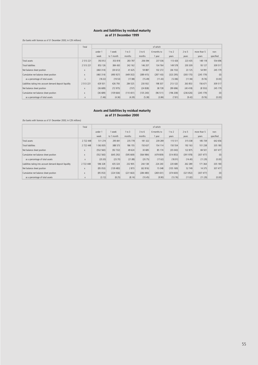#### **Assets and liabilities by residual maturity as of 31 December 1999**

# (for banks with licences as of 31 December 2000; in CZK millions)

|                                                          | Total         |          | of which   |          |            |             |            |           |             |           |
|----------------------------------------------------------|---------------|----------|------------|----------|------------|-------------|------------|-----------|-------------|-----------|
|                                                          |               | under 1  | 1 week     | 1 to 3   | $3$ to $6$ | 6 months to | $1$ to $2$ | $2$ to 5  | more than 5 | non-      |
|                                                          |               | week     | to 1 month | months   | months     | 1 year      | years      | years     | years       | specified |
| Total assets                                             | 2 5 1 3 2 2 1 | 392 812  | 353 818    | 283 787  | 206 094    | 237 036     | 113 426    | 223 435   | 148 118     | 554 696   |
| <b>Total liabilities</b>                                 | 2 5 1 3 2 2 1 | 853 126  | 384 430    | 242 162  | 146 207    | 134 764     | 149 578    | 200 309   | 93 127      | 309 517   |
| Net balance sheet position                               | X             | (460314) | (30612)    | 41 625   | 59 887     | 102 272     | (36 153)   | 23 125    | 54 991      | 245 179   |
| Cumulative net balance sheet position                    | X             | (460314) | (490927)   | (449302) | (389, 415) | (287 143)   | (323 295)  | (300170)  | (245 179)   | (0)       |
| as a percentage of total assets                          | X             | (18.32)  | (19.53)    | (17.88)  | (15.49)    | (11.43)     | (12.86)    | (11.94)   | (9.76)      | (0.00)    |
| Liabilities taking into account demand deposit liquidity | 2 5 1 3 2 2 1 | 429 501  | 426 793    | 284 525  | 230 932    | 198 307     | 213 122    | 263 853   | 156 671     | 309 517   |
| Net balance sheet position                               | X             | (36689)  | (72975)    | (737)    | (24838)    | 38 7 28     | (99696)    | (40, 418) | (8553)      | 245 179   |
| Cumulative net balance sheet position                    | X             | (36689)  | (109664)   | (110401) | (135 240)  | (96 511)    | (196 208)  | (236626)  | (245 179)   | (0)       |
| as a percentage of total assets                          | X             | (1.46)   | (4.36)     | (4.39)   | (5.38)     | (3.84)      | (7.81)     | (9.42)    | (9.76)      | (0.00)    |

# **Assets and liabilities by residual maturity as of 31 December 2000**

(for banks with licences as of 31 December 2000; in CZK millions)

|                                                          | Total         |           | of which   |          |           |             |           |            |             |           |
|----------------------------------------------------------|---------------|-----------|------------|----------|-----------|-------------|-----------|------------|-------------|-----------|
|                                                          |               | under 1   | 1 week     | 1 to 3   | 3 to 6    | 6 months to | 1 to 2    | $2$ to $5$ | more than 5 | non-      |
|                                                          |               | week      | to 1 month | months   | months    | 1 year      | years     | years      | years       | specified |
| Total assets                                             | 2 7 2 2 4 4 8 | 511 274   | 295 841    | 235 778  | 181 322   | 239 289     | 115 511   | 315 038    | 185 739     | 642 656   |
| <b>Total liabilities</b>                                 | 2 722 448     | 1 063 835 | 388 573    | 186 155  | 150 637   | 154 114     | 150 554   | 192 163    | 101 238     | 335 180   |
| Net balance sheet position                               | X             | (552 560) | (92732)    | 49 624   | 30 685    | 85 174      | (35043)   | 122 875    | 84 501      | 307 477   |
| Cumulative net balance sheet position                    | $\mathsf{X}$  | (552 560) | (645 292)  | (595669) | (564984)  | (479809)    | (514853)  | (391978)   | (307 477)   | (0)       |
| as a percentage of total assets                          | X             | (20.30)   | (23.70)    | (21.88)  | (20.75)   | (17.62)     | (18.91)   | (14.40)    | (11.29)     | (0.00)    |
| Liabilities taking into account demand deposit liquidity | 2 7 2 2 4 4 8 | 596 328   | 435 324    | 232 905  | 244 138   | 224 240     | 220 680   | 262 289    | 171 364     | 335 180   |
| Net balance sheet position                               | X             | (85053)   | (139 483)  | 2873     | (62816)   | 15 048      | (105 169) | 52 749     | 14 3 7 5    | 307 477   |
| Cumulative net balance sheet position                    | $\mathsf{X}$  | (85053)   | (224536)   | (221663) | (284 480) | (269 431)   | (374600)  | (321852)   | (307 477)   | (0)       |
| as a percentage of total assets                          | X             | (3.12)    | (8.25)     | (8.14)   | (10.45)   | (9.90)      | (13.76)   | (11.82)    | (11.29)     | (0.00)    |